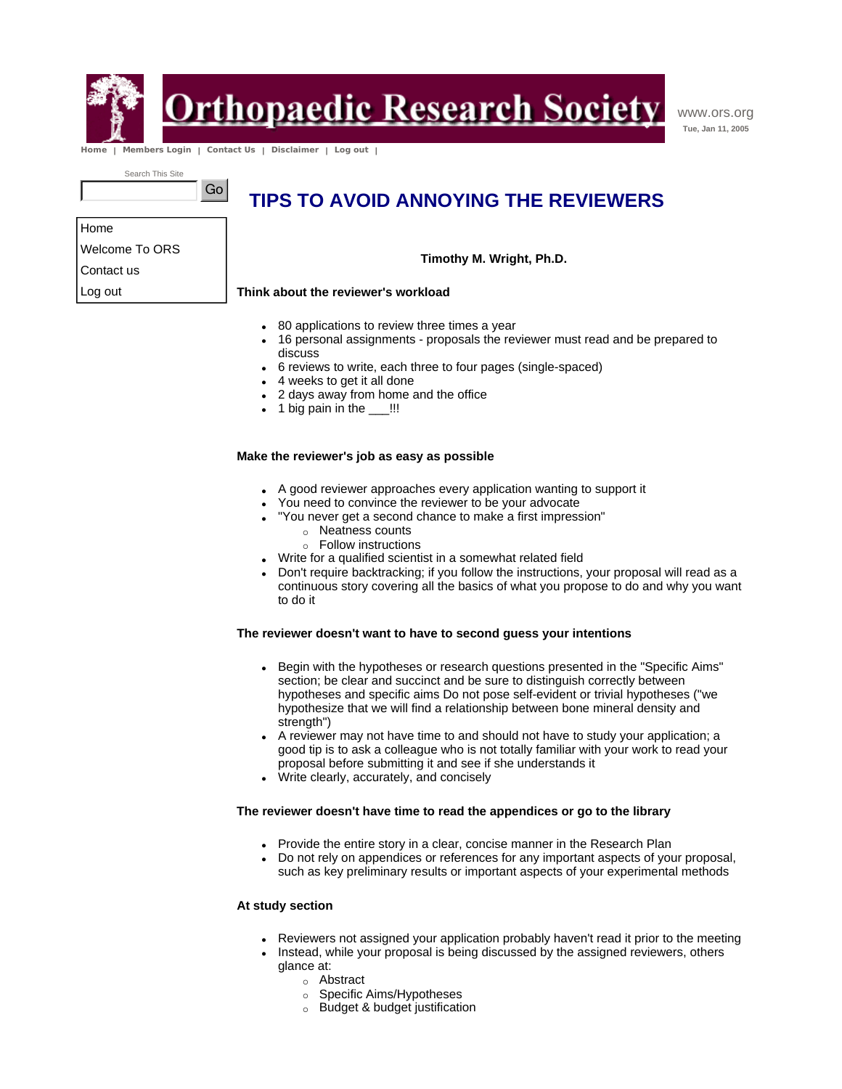

Home

Contact us Log out

<u> Drthopaedic Research Society</u>

www.ors.org **Tue, Jan 11, 2005**

 **Home | Members Login | Contact Us | Disclaimer | Log out |** 

Go

Search This Site

Welcome To ORS

## **TIPS TO AVOID ANNOYING THE REVIEWERS**

**Timothy M. Wright, Ph.D.**

### **Think about the reviewer's workload**

- 80 applications to review three times a year
- 16 personal assignments proposals the reviewer must read and be prepared to discuss
- 6 reviews to write, each three to four pages (single-spaced)
- 4 weeks to get it all done
- 2 days away from home and the office
- $\bullet$  1 big pain in the  $\_\$ !!!

### **Make the reviewer's job as easy as possible**

- A good reviewer approaches every application wanting to support it
- You need to convince the reviewer to be your advocate
- "You never get a second chance to make a first impression"
	- o Neatness counts
	- $\circ$  Follow instructions
- Write for a qualified scientist in a somewhat related field
- Don't require backtracking; if you follow the instructions, your proposal will read as a continuous story covering all the basics of what you propose to do and why you want to do it

### **The reviewer doesn't want to have to second guess your intentions**

- Begin with the hypotheses or research questions presented in the "Specific Aims" section; be clear and succinct and be sure to distinguish correctly between hypotheses and specific aims Do not pose self-evident or trivial hypotheses ("we hypothesize that we will find a relationship between bone mineral density and strength")
- A reviewer may not have time to and should not have to study your application; a good tip is to ask a colleague who is not totally familiar with your work to read your proposal before submitting it and see if she understands it
- Write clearly, accurately, and concisely

### **The reviewer doesn't have time to read the appendices or go to the library**

- Provide the entire story in a clear, concise manner in the Research Plan
- Do not rely on appendices or references for any important aspects of your proposal, such as key preliminary results or important aspects of your experimental methods

### **At study section**

- Reviewers not assigned your application probably haven't read it prior to the meeting
- . Instead, while your proposal is being discussed by the assigned reviewers, others glance at:
	- o Abstract
	- o Specific Aims/Hypotheses
	- $\circ$  Budget & budget justification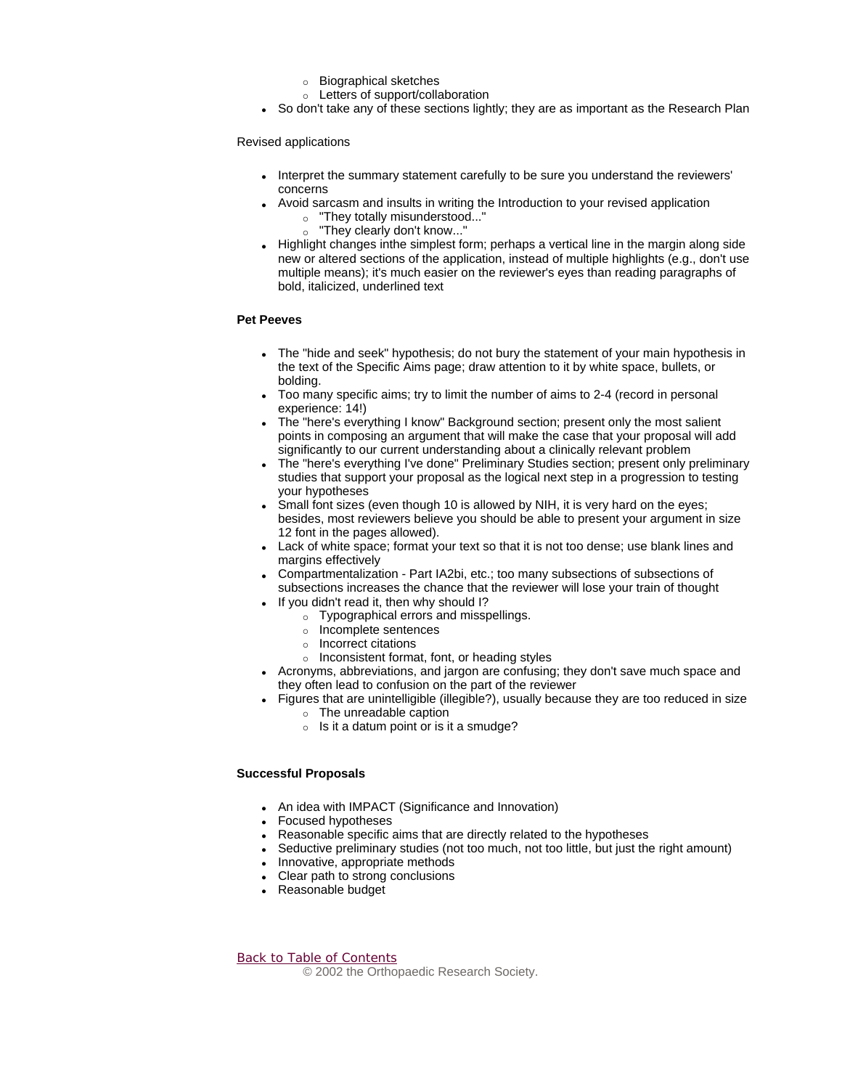- $\circ$  Biographical sketches
- $\circ$  Letters of support/collaboration
- So don't take any of these sections lightly; they are as important as the Research Plan

Revised applications

- Interpret the summary statement carefully to be sure you understand the reviewers' concerns
- Avoid sarcasm and insults in writing the Introduction to your revised application
	- o "They totally misunderstood..." ○ "They clearly don't know..."
- Highlight changes inthe simplest form; perhaps a vertical line in the margin along side new or altered sections of the application, instead of multiple highlights (e.g., don't use multiple means); it's much easier on the reviewer's eyes than reading paragraphs of bold, italicized, underlined text

### **Pet Peeves**

- The "hide and seek" hypothesis; do not bury the statement of your main hypothesis in the text of the Specific Aims page; draw attention to it by white space, bullets, or bolding.
- Too many specific aims; try to limit the number of aims to 2-4 (record in personal experience: 14!)
- The "here's everything I know" Background section; present only the most salient points in composing an argument that will make the case that your proposal will add significantly to our current understanding about a clinically relevant problem
- The "here's everything I've done" Preliminary Studies section; present only preliminary studies that support your proposal as the logical next step in a progression to testing your hypotheses
- Small font sizes (even though 10 is allowed by NIH, it is very hard on the eyes; besides, most reviewers believe you should be able to present your argument in size 12 font in the pages allowed).
- Lack of white space; format your text so that it is not too dense; use blank lines and margins effectively
- Compartmentalization Part IA2bi, etc.; too many subsections of subsections of subsections increases the chance that the reviewer will lose your train of thought
- If you didn't read it, then why should I?
	- $\circ$  Typographical errors and misspellings.
	- $\circ$  Incomplete sentences
	- $\circ$  Incorrect citations
	- $\circ$  Inconsistent format, font, or heading styles
- Acronyms, abbreviations, and jargon are confusing; they don't save much space and they often lead to confusion on the part of the reviewer
- Figures that are unintelligible (illegible?), usually because they are too reduced in size  $\circ$  The unreadable caption
	- $\circ$  Is it a datum point or is it a smudge?

### **Successful Proposals**

- An idea with IMPACT (Significance and Innovation)
- Focused hypotheses
- Reasonable specific aims that are directly related to the hypotheses
- Seductive preliminary studies (not too much, not too little, but just the right amount)
- Innovative, appropriate methods
- Clear path to strong conclusions
- Reasonable budget

Back to Table of Contents © 2002 the Orthopaedic Research Society.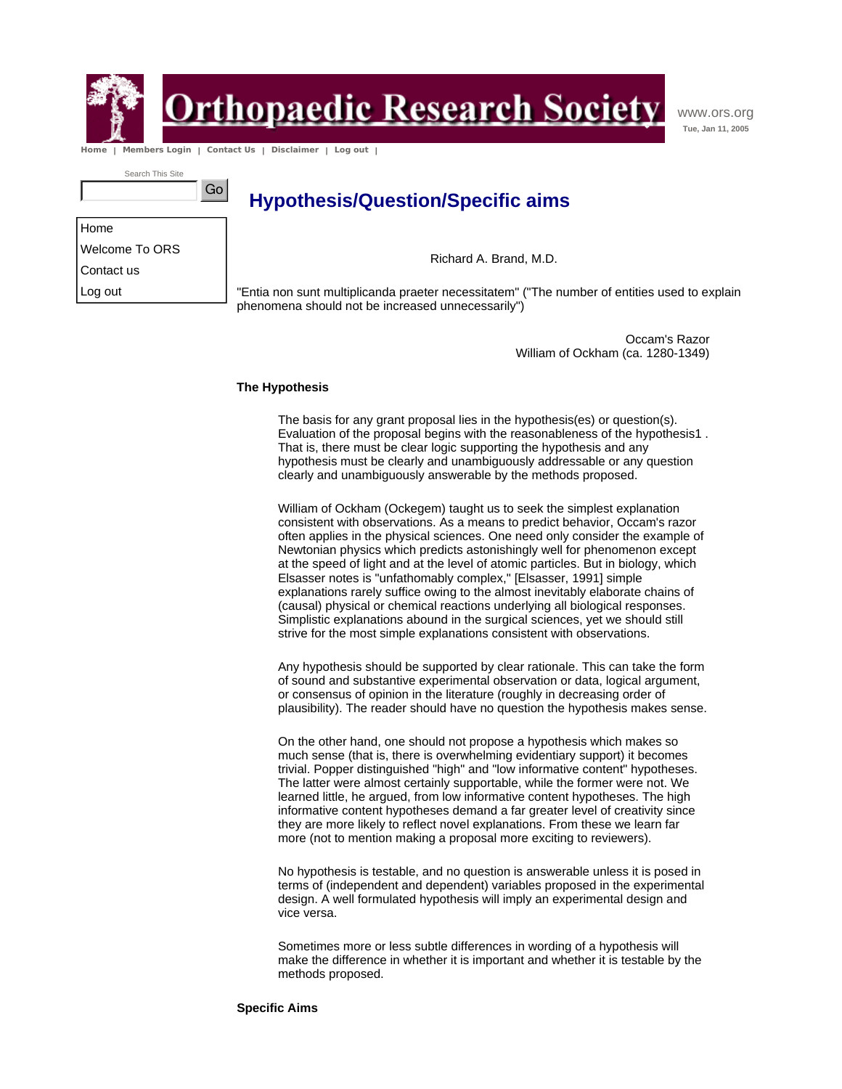

**In Primerious Contribution Primerish Primerile Society** 

www.ors.org **Tue, Jan 11, 2005**

 **Home | Members Login | Contact Us | Disclaimer | Log out |** 

Go

Search This Site

**Hypothesis/Question/Specific aims** 

Home

Welcome To ORS

Contact us

Log out

Richard A. Brand, M.D.

"Entia non sunt multiplicanda praeter necessitatem" ("The number of entities used to explain phenomena should not be increased unnecessarily")

> Occam's Razor William of Ockham (ca. 1280-1349)

#### **The Hypothesis**

The basis for any grant proposal lies in the hypothesis(es) or question(s). Evaluation of the proposal begins with the reasonableness of the hypothesis1 . That is, there must be clear logic supporting the hypothesis and any hypothesis must be clearly and unambiguously addressable or any question clearly and unambiguously answerable by the methods proposed.

William of Ockham (Ockegem) taught us to seek the simplest explanation consistent with observations. As a means to predict behavior, Occam's razor often applies in the physical sciences. One need only consider the example of Newtonian physics which predicts astonishingly well for phenomenon except at the speed of light and at the level of atomic particles. But in biology, which Elsasser notes is "unfathomably complex," [Elsasser, 1991] simple explanations rarely suffice owing to the almost inevitably elaborate chains of (causal) physical or chemical reactions underlying all biological responses. Simplistic explanations abound in the surgical sciences, yet we should still strive for the most simple explanations consistent with observations.

Any hypothesis should be supported by clear rationale. This can take the form of sound and substantive experimental observation or data, logical argument, or consensus of opinion in the literature (roughly in decreasing order of plausibility). The reader should have no question the hypothesis makes sense.

On the other hand, one should not propose a hypothesis which makes so much sense (that is, there is overwhelming evidentiary support) it becomes trivial. Popper distinguished "high" and "low informative content" hypotheses. The latter were almost certainly supportable, while the former were not. We learned little, he argued, from low informative content hypotheses. The high informative content hypotheses demand a far greater level of creativity since they are more likely to reflect novel explanations. From these we learn far more (not to mention making a proposal more exciting to reviewers).

No hypothesis is testable, and no question is answerable unless it is posed in terms of (independent and dependent) variables proposed in the experimental design. A well formulated hypothesis will imply an experimental design and vice versa.

Sometimes more or less subtle differences in wording of a hypothesis will make the difference in whether it is important and whether it is testable by the methods proposed.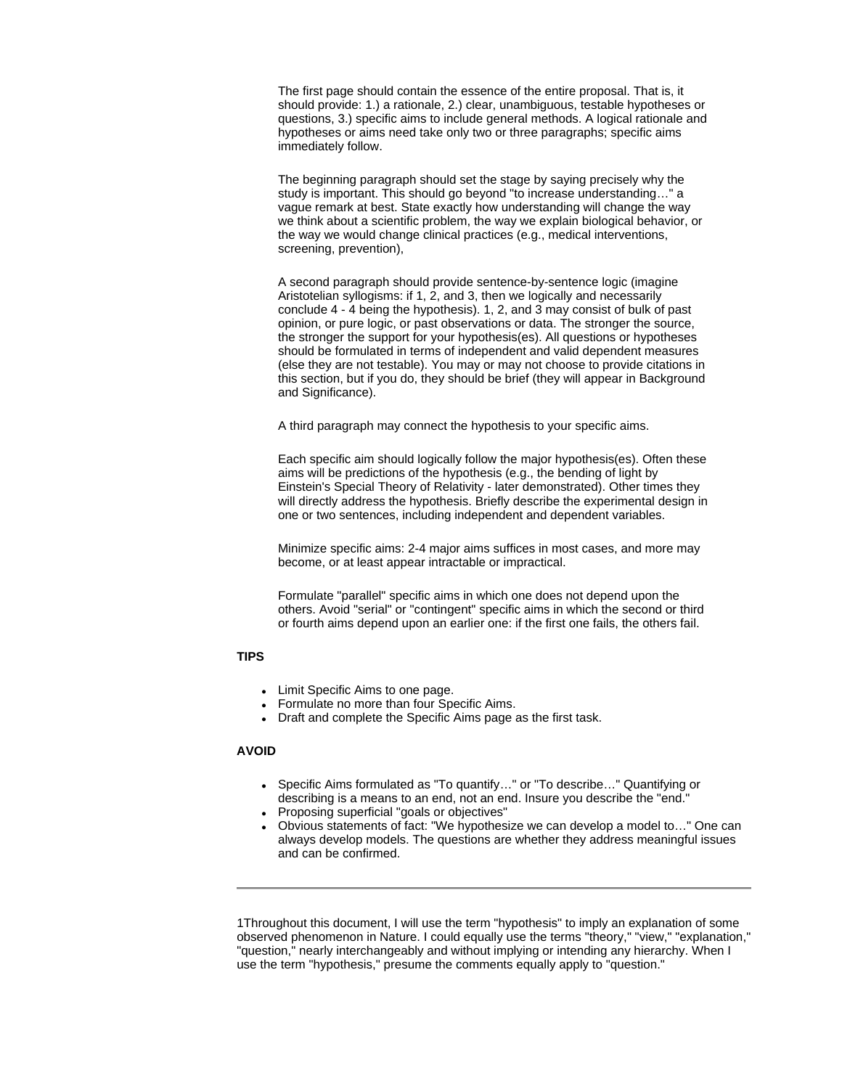The first page should contain the essence of the entire proposal. That is, it should provide: 1.) a rationale, 2.) clear, unambiguous, testable hypotheses or questions, 3.) specific aims to include general methods. A logical rationale and hypotheses or aims need take only two or three paragraphs; specific aims immediately follow.

The beginning paragraph should set the stage by saying precisely why the study is important. This should go beyond "to increase understanding…" a vague remark at best. State exactly how understanding will change the way we think about a scientific problem, the way we explain biological behavior, or the way we would change clinical practices (e.g., medical interventions, screening, prevention),

A second paragraph should provide sentence-by-sentence logic (imagine Aristotelian syllogisms: if 1, 2, and 3, then we logically and necessarily conclude 4 - 4 being the hypothesis). 1, 2, and 3 may consist of bulk of past opinion, or pure logic, or past observations or data. The stronger the source, the stronger the support for your hypothesis(es). All questions or hypotheses should be formulated in terms of independent and valid dependent measures (else they are not testable). You may or may not choose to provide citations in this section, but if you do, they should be brief (they will appear in Background and Significance).

A third paragraph may connect the hypothesis to your specific aims.

Each specific aim should logically follow the major hypothesis(es). Often these aims will be predictions of the hypothesis (e.g., the bending of light by Einstein's Special Theory of Relativity - later demonstrated). Other times they will directly address the hypothesis. Briefly describe the experimental design in one or two sentences, including independent and dependent variables.

Minimize specific aims: 2-4 major aims suffices in most cases, and more may become, or at least appear intractable or impractical.

Formulate "parallel" specific aims in which one does not depend upon the others. Avoid "serial" or "contingent" specific aims in which the second or third or fourth aims depend upon an earlier one: if the first one fails, the others fail.

### **TIPS**

- Limit Specific Aims to one page.
- Formulate no more than four Specific Aims.
- Draft and complete the Specific Aims page as the first task.

### **AVOID**

- Specific Aims formulated as "To quantify..." or "To describe..." Quantifying or describing is a means to an end, not an end. Insure you describe the "end."
- Proposing superficial "goals or objectives"
- Obvious statements of fact: "We hypothesize we can develop a model to..." One can always develop models. The questions are whether they address meaningful issues and can be confirmed.

1Throughout this document, I will use the term "hypothesis" to imply an explanation of some observed phenomenon in Nature. I could equally use the terms "theory," "view," "explanation," "question," nearly interchangeably and without implying or intending any hierarchy. When I use the term "hypothesis," presume the comments equally apply to "question."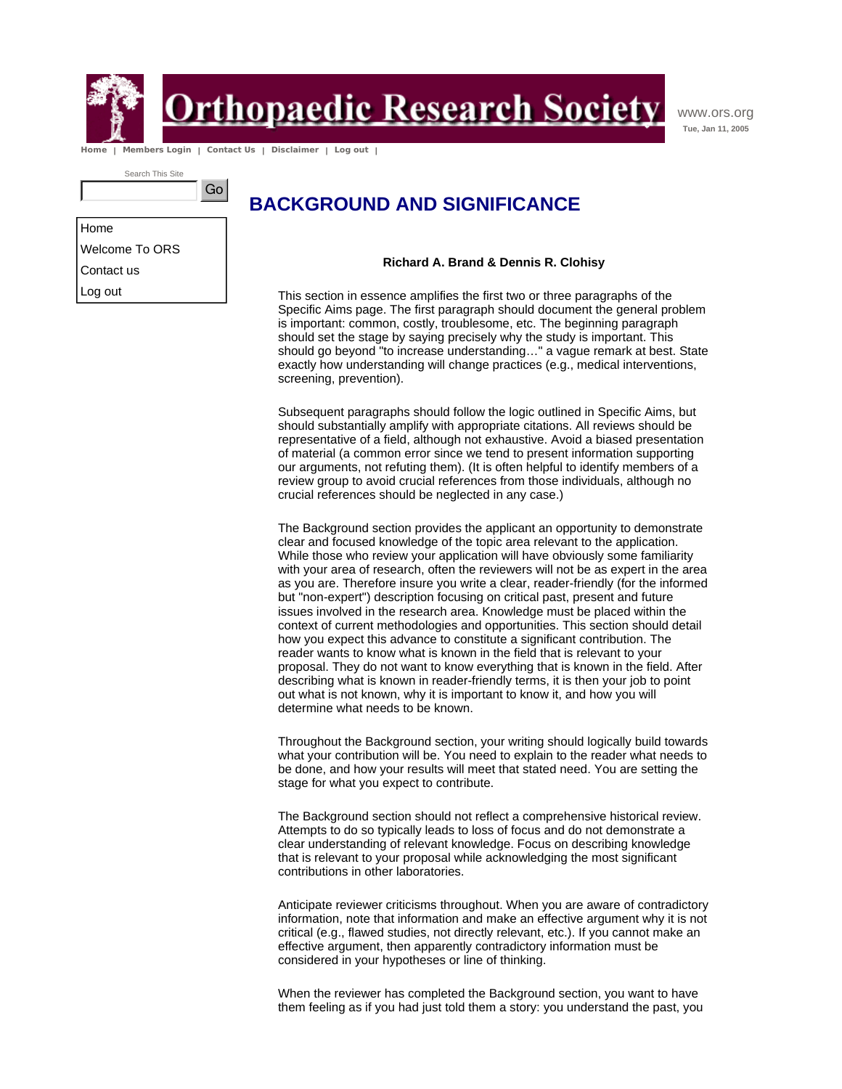

Home

Log out

**In Primerious Contribution Primerish Primerile Society** 

www.ors.org **Tue, Jan 11, 2005**

 **Home | Members Login | Contact Us | Disclaimer | Log out |** 

Go

Search This Site

## **BACKGROUND AND SIGNIFICANCE**

Welcome To ORS Contact us

**Richard A. Brand & Dennis R. Clohisy**

This section in essence amplifies the first two or three paragraphs of the Specific Aims page. The first paragraph should document the general problem is important: common, costly, troublesome, etc. The beginning paragraph should set the stage by saying precisely why the study is important. This should go beyond "to increase understanding…" a vague remark at best. State exactly how understanding will change practices (e.g., medical interventions, screening, prevention).

Subsequent paragraphs should follow the logic outlined in Specific Aims, but should substantially amplify with appropriate citations. All reviews should be representative of a field, although not exhaustive. Avoid a biased presentation of material (a common error since we tend to present information supporting our arguments, not refuting them). (It is often helpful to identify members of a review group to avoid crucial references from those individuals, although no crucial references should be neglected in any case.)

The Background section provides the applicant an opportunity to demonstrate clear and focused knowledge of the topic area relevant to the application. While those who review your application will have obviously some familiarity with your area of research, often the reviewers will not be as expert in the area as you are. Therefore insure you write a clear, reader-friendly (for the informed but "non-expert") description focusing on critical past, present and future issues involved in the research area. Knowledge must be placed within the context of current methodologies and opportunities. This section should detail how you expect this advance to constitute a significant contribution. The reader wants to know what is known in the field that is relevant to your proposal. They do not want to know everything that is known in the field. After describing what is known in reader-friendly terms, it is then your job to point out what is not known, why it is important to know it, and how you will determine what needs to be known.

Throughout the Background section, your writing should logically build towards what your contribution will be. You need to explain to the reader what needs to be done, and how your results will meet that stated need. You are setting the stage for what you expect to contribute.

The Background section should not reflect a comprehensive historical review. Attempts to do so typically leads to loss of focus and do not demonstrate a clear understanding of relevant knowledge. Focus on describing knowledge that is relevant to your proposal while acknowledging the most significant contributions in other laboratories.

Anticipate reviewer criticisms throughout. When you are aware of contradictory information, note that information and make an effective argument why it is not critical (e.g., flawed studies, not directly relevant, etc.). If you cannot make an effective argument, then apparently contradictory information must be considered in your hypotheses or line of thinking.

When the reviewer has completed the Background section, you want to have them feeling as if you had just told them a story: you understand the past, you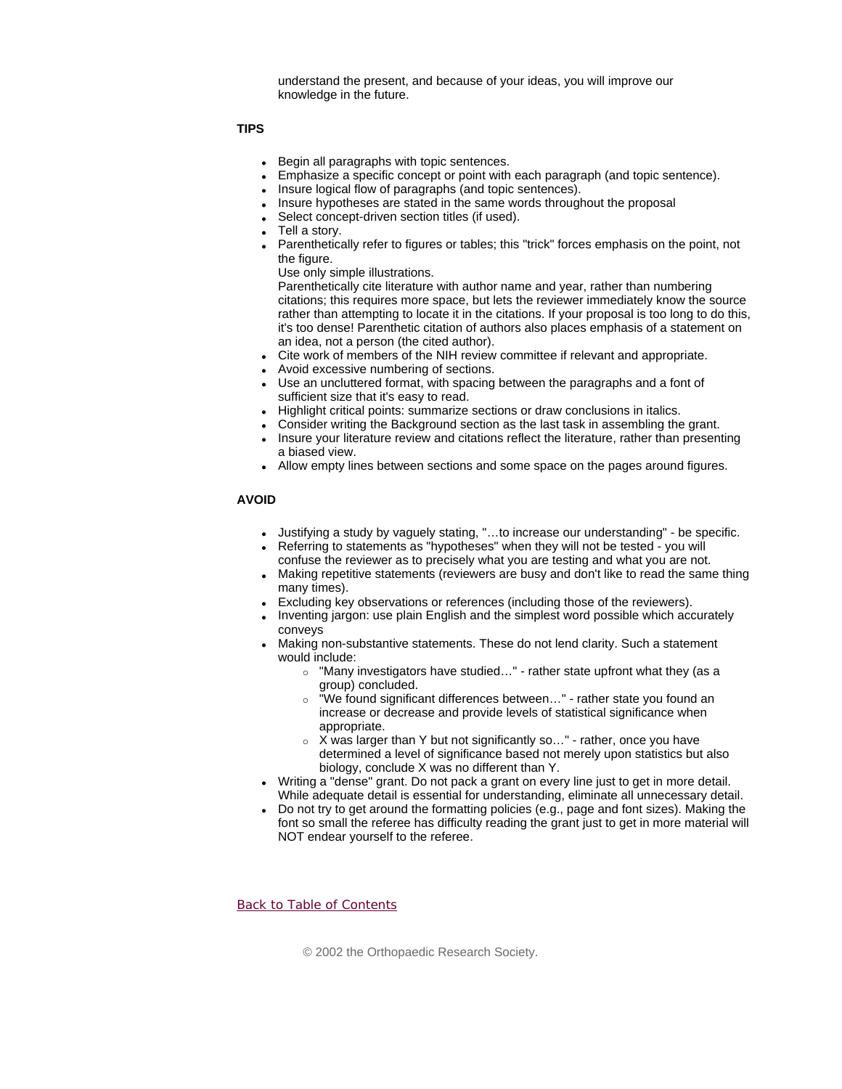understand the present, and because of your ideas, you will improve our knowledge in the future.

**TIPS** 

- Begin all paragraphs with topic sentences.
- Emphasize a specific concept or point with each paragraph (and topic sentence).
	- Insure logical flow of paragraphs (and topic sentences).
- Insure hypotheses are stated in the same words throughout the proposal
- Select concept-driven section titles (if used).
- Tell a story.
- Parenthetically refer to figures or tables; this "trick" forces emphasis on the point, not the figure.
	- Use only simple illustrations.

Parenthetically cite literature with author name and year, rather than numbering citations; this requires more space, but lets the reviewer immediately know the source rather than attempting to locate it in the citations. If your proposal is too long to do this, it's too dense! Parenthetic citation of authors also places emphasis of a statement on an idea, not a person (the cited author).

- Cite work of members of the NIH review committee if relevant and appropriate.
- Avoid excessive numbering of sections.
- Use an uncluttered format, with spacing between the paragraphs and a font of sufficient size that it's easy to read.
- Highlight critical points: summarize sections or draw conclusions in italics.
- Consider writing the Background section as the last task in assembling the grant.
- Insure your literature review and citations reflect the literature, rather than presenting a biased view.
- Allow empty lines between sections and some space on the pages around figures.

### **AVOID**

- Justifying a study by vaguely stating, "...to increase our understanding" be specific.
- Referring to statements as "hypotheses" when they will not be tested you will confuse the reviewer as to precisely what you are testing and what you are not.
- Making repetitive statements (reviewers are busy and don't like to read the same thing many times).
- Excluding key observations or references (including those of the reviewers).
- Inventing jargon: use plain English and the simplest word possible which accurately conveys
- Making non-substantive statements. These do not lend clarity. Such a statement would include:
	- $\circ$  "Many investigators have studied..." rather state upfront what they (as a group) concluded.
	- $\circ$  "We found significant differences between..." rather state you found an increase or decrease and provide levels of statistical significance when appropriate.
	- $\circ$  X was larger than Y but not significantly so..." rather, once you have determined a level of significance based not merely upon statistics but also biology, conclude X was no different than Y.
- Writing a "dense" grant. Do not pack a grant on every line just to get in more detail. While adequate detail is essential for understanding, eliminate all unnecessary detail.
- Do not try to get around the formatting policies (e.g., page and font sizes). Making the font so small the referee has difficulty reading the grant just to get in more material will NOT endear yourself to the referee.

Back to Table of Contents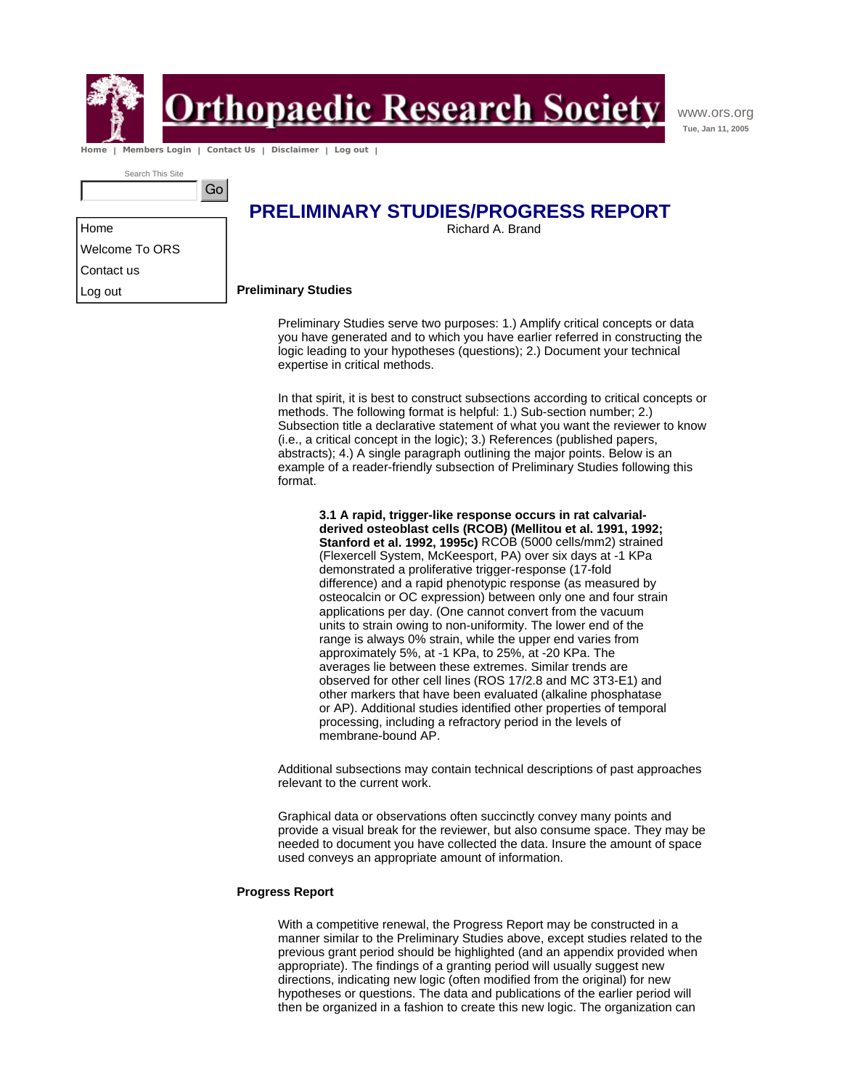

Home

Contact us Log out

## <u> Prthopaedic Research Society</u>

www.ors.org **Tue, Jan 11, 2005**

 **Home | Members Login | Contact Us | Disclaimer | Log out |** 

Go

Search This Site

Welcome To ORS

### **PRELIMINARY STUDIES/PROGRESS REPORT**

Richard A. Brand

### **Preliminary Studies**

Preliminary Studies serve two purposes: 1.) Amplify critical concepts or data you have generated and to which you have earlier referred in constructing the logic leading to your hypotheses (questions); 2.) Document your technical expertise in critical methods.

In that spirit, it is best to construct subsections according to critical concepts or methods. The following format is helpful: 1.) Sub-section number; 2.) Subsection title a declarative statement of what you want the reviewer to know (i.e., a critical concept in the logic); 3.) References (published papers, abstracts); 4.) A single paragraph outlining the major points. Below is an example of a reader-friendly subsection of Preliminary Studies following this format.

**3.1 A rapid, trigger-like response occurs in rat calvarialderived osteoblast cells (RCOB) (Mellitou et al. 1991, 1992; Stanford et al. 1992, 1995c)** RCOB (5000 cells/mm2) strained (Flexercell System, McKeesport, PA) over six days at -1 KPa demonstrated a proliferative trigger-response (17-fold difference) and a rapid phenotypic response (as measured by osteocalcin or OC expression) between only one and four strain applications per day. (One cannot convert from the vacuum units to strain owing to non-uniformity. The lower end of the range is always 0% strain, while the upper end varies from approximately 5%, at -1 KPa, to 25%, at -20 KPa. The averages lie between these extremes. Similar trends are observed for other cell lines (ROS 17/2.8 and MC 3T3-E1) and other markers that have been evaluated (alkaline phosphatase or AP). Additional studies identified other properties of temporal processing, including a refractory period in the levels of membrane-bound AP.

Additional subsections may contain technical descriptions of past approaches relevant to the current work.

Graphical data or observations often succinctly convey many points and provide a visual break for the reviewer, but also consume space. They may be needed to document you have collected the data. Insure the amount of space used conveys an appropriate amount of information.

### **Progress Report**

With a competitive renewal, the Progress Report may be constructed in a manner similar to the Preliminary Studies above, except studies related to the previous grant period should be highlighted (and an appendix provided when appropriate). The findings of a granting period will usually suggest new directions, indicating new logic (often modified from the original) for new hypotheses or questions. The data and publications of the earlier period will then be organized in a fashion to create this new logic. The organization can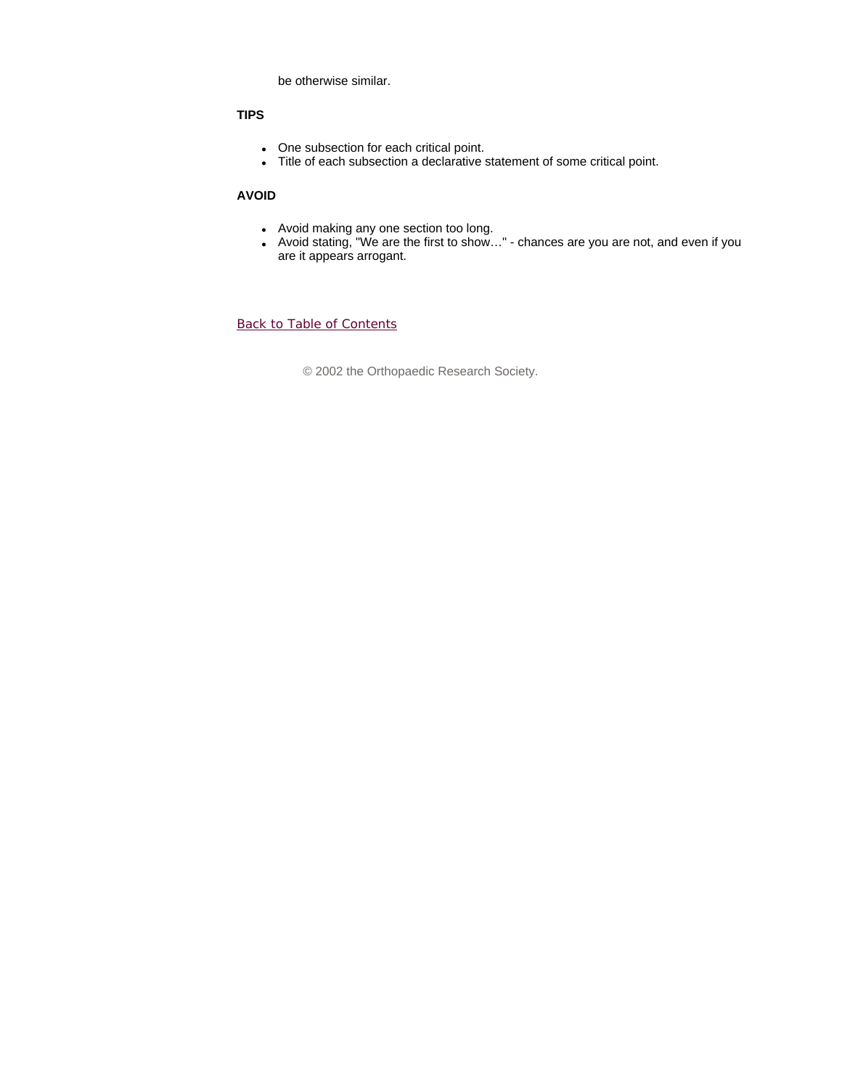be otherwise similar.

### **TIPS**

- One subsection for each critical point.
- Title of each subsection a declarative statement of some critical point.

### **AVOID**

- Avoid making any one section too long.
- Avoid stating, "We are the first to show..." chances are you are not, and even if you are it appears arrogant.

Back to Table of Contents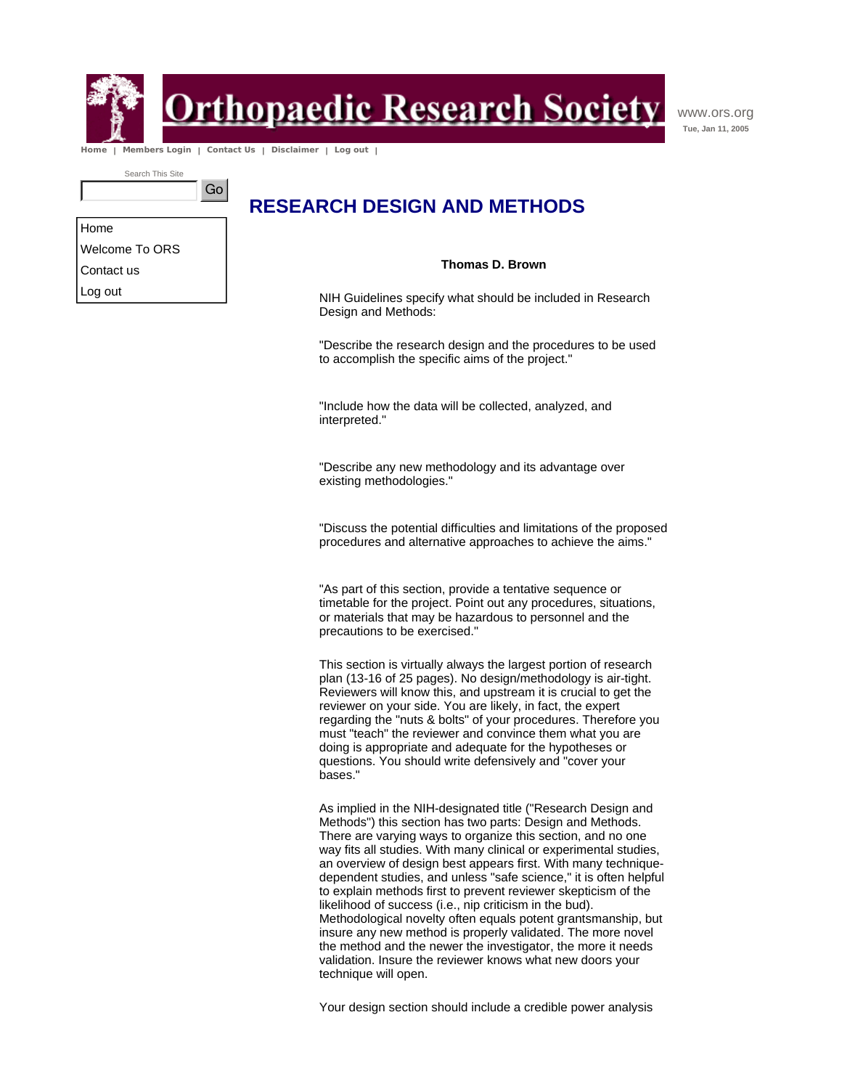

<u> Prthopaedic Research Society</u>

www.ors.org **Tue, Jan 11, 2005**

 **Home | Members Login | Contact Us | Disclaimer | Log out |** 

Go

Search This Site

### **RESEARCH DESIGN AND METHODS**

Home Welcome To ORS Contact us Log out

### **Thomas D. Brown**

NIH Guidelines specify what should be included in Research Design and Methods:

"Describe the research design and the procedures to be used to accomplish the specific aims of the project."

"Include how the data will be collected, analyzed, and interpreted."

"Describe any new methodology and its advantage over existing methodologies."

"Discuss the potential difficulties and limitations of the proposed procedures and alternative approaches to achieve the aims."

"As part of this section, provide a tentative sequence or timetable for the project. Point out any procedures, situations, or materials that may be hazardous to personnel and the precautions to be exercised."

This section is virtually always the largest portion of research plan (13-16 of 25 pages). No design/methodology is air-tight. Reviewers will know this, and upstream it is crucial to get the reviewer on your side. You are likely, in fact, the expert regarding the "nuts & bolts" of your procedures. Therefore you must "teach" the reviewer and convince them what you are doing is appropriate and adequate for the hypotheses or questions. You should write defensively and "cover your bases."

As implied in the NIH-designated title ("Research Design and Methods") this section has two parts: Design and Methods. There are varying ways to organize this section, and no one way fits all studies. With many clinical or experimental studies, an overview of design best appears first. With many techniquedependent studies, and unless "safe science," it is often helpful to explain methods first to prevent reviewer skepticism of the likelihood of success (i.e., nip criticism in the bud). Methodological novelty often equals potent grantsmanship, but insure any new method is properly validated. The more novel the method and the newer the investigator, the more it needs validation. Insure the reviewer knows what new doors your technique will open.

Your design section should include a credible power analysis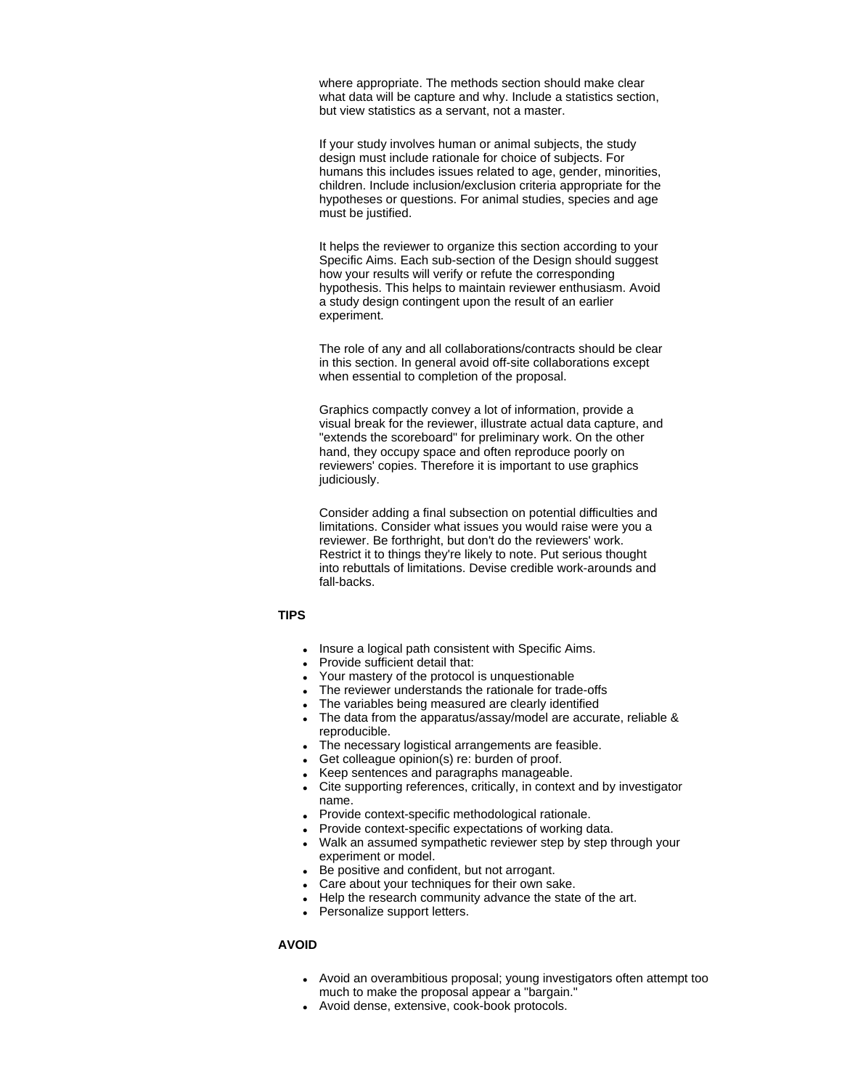where appropriate. The methods section should make clear what data will be capture and why. Include a statistics section, but view statistics as a servant, not a master.

If your study involves human or animal subjects, the study design must include rationale for choice of subjects. For humans this includes issues related to age, gender, minorities, children. Include inclusion/exclusion criteria appropriate for the hypotheses or questions. For animal studies, species and age must be justified.

It helps the reviewer to organize this section according to your Specific Aims. Each sub-section of the Design should suggest how your results will verify or refute the corresponding hypothesis. This helps to maintain reviewer enthusiasm. Avoid a study design contingent upon the result of an earlier experiment.

The role of any and all collaborations/contracts should be clear in this section. In general avoid off-site collaborations except when essential to completion of the proposal.

Graphics compactly convey a lot of information, provide a visual break for the reviewer, illustrate actual data capture, and "extends the scoreboard" for preliminary work. On the other hand, they occupy space and often reproduce poorly on reviewers' copies. Therefore it is important to use graphics judiciously.

Consider adding a final subsection on potential difficulties and limitations. Consider what issues you would raise were you a reviewer. Be forthright, but don't do the reviewers' work. Restrict it to things they're likely to note. Put serious thought into rebuttals of limitations. Devise credible work-arounds and fall-backs.

### **TIPS**

- . Insure a logical path consistent with Specific Aims.
- Provide sufficient detail that:
- Your mastery of the protocol is unquestionable
- The reviewer understands the rationale for trade-offs
- The variables being measured are clearly identified
- The data from the apparatus/assay/model are accurate, reliable & reproducible.
- The necessary logistical arrangements are feasible.
- $\bullet$  Get colleague opinion(s) re: burden of proof.
- Keep sentences and paragraphs manageable.
- Cite supporting references, critically, in context and by investigator name.
- Provide context-specific methodological rationale.
- Provide context-specific expectations of working data.
- Walk an assumed sympathetic reviewer step by step through your experiment or model.
- Be positive and confident, but not arrogant.
- Care about your techniques for their own sake.
- Help the research community advance the state of the art.
- Personalize support letters.

### **AVOID**

- Avoid an overambitious proposal; young investigators often attempt too much to make the proposal appear a "bargain."
- Avoid dense, extensive, cook-book protocols.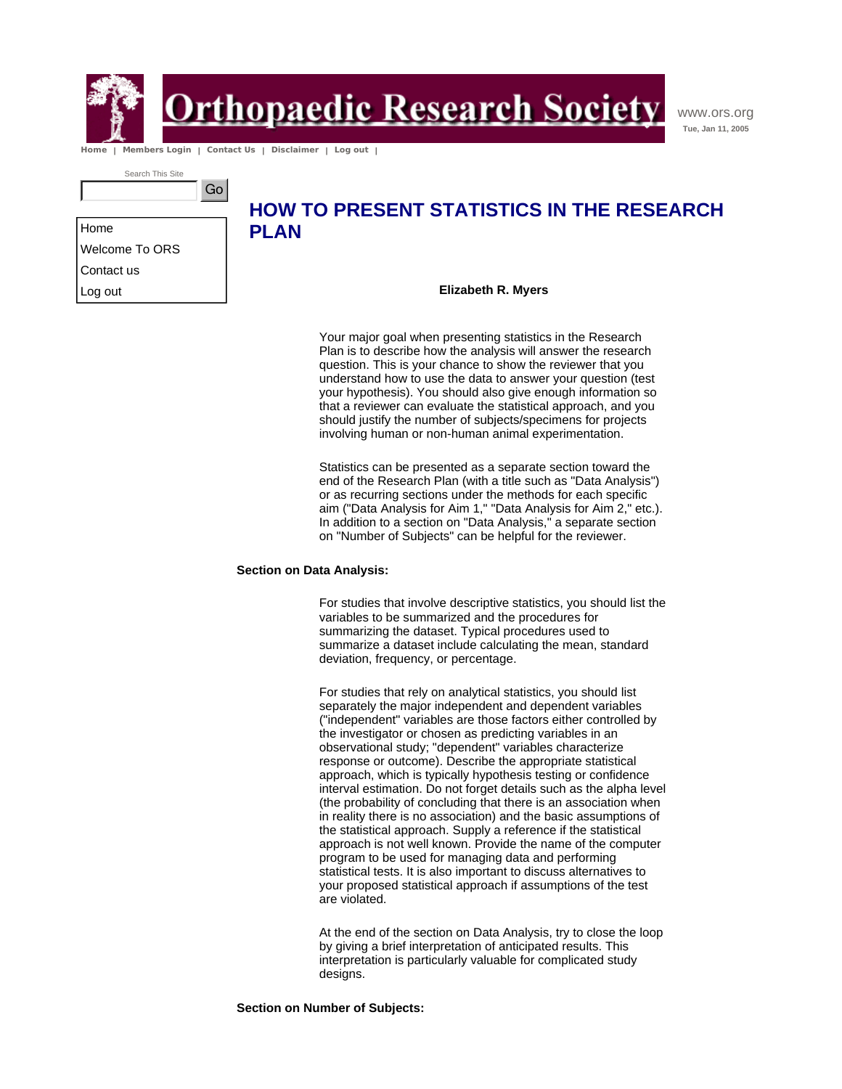

**rthopaedic Research Society** 

www.ors.org **Tue, Jan 11, 2005**

 **Home | Members Login | Contact Us | Disclaimer | Log out |** 

Search This Site



Home Welcome To ORS Contact us Log out

### **HOW TO PRESENT STATISTICS IN THE RESEARCH PLAN**

**Elizabeth R. Myers**

Your major goal when presenting statistics in the Research Plan is to describe how the analysis will answer the research question. This is your chance to show the reviewer that you understand how to use the data to answer your question (test your hypothesis). You should also give enough information so that a reviewer can evaluate the statistical approach, and you should justify the number of subjects/specimens for projects involving human or non-human animal experimentation.

Statistics can be presented as a separate section toward the end of the Research Plan (with a title such as "Data Analysis") or as recurring sections under the methods for each specific aim ("Data Analysis for Aim 1," "Data Analysis for Aim 2," etc.). In addition to a section on "Data Analysis," a separate section on "Number of Subjects" can be helpful for the reviewer.

### **Section on Data Analysis:**

For studies that involve descriptive statistics, you should list the variables to be summarized and the procedures for summarizing the dataset. Typical procedures used to summarize a dataset include calculating the mean, standard deviation, frequency, or percentage.

For studies that rely on analytical statistics, you should list separately the major independent and dependent variables ("independent" variables are those factors either controlled by the investigator or chosen as predicting variables in an observational study; "dependent" variables characterize response or outcome). Describe the appropriate statistical approach, which is typically hypothesis testing or confidence interval estimation. Do not forget details such as the alpha level (the probability of concluding that there is an association when in reality there is no association) and the basic assumptions of the statistical approach. Supply a reference if the statistical approach is not well known. Provide the name of the computer program to be used for managing data and performing statistical tests. It is also important to discuss alternatives to your proposed statistical approach if assumptions of the test are violated.

At the end of the section on Data Analysis, try to close the loop by giving a brief interpretation of anticipated results. This interpretation is particularly valuable for complicated study designs.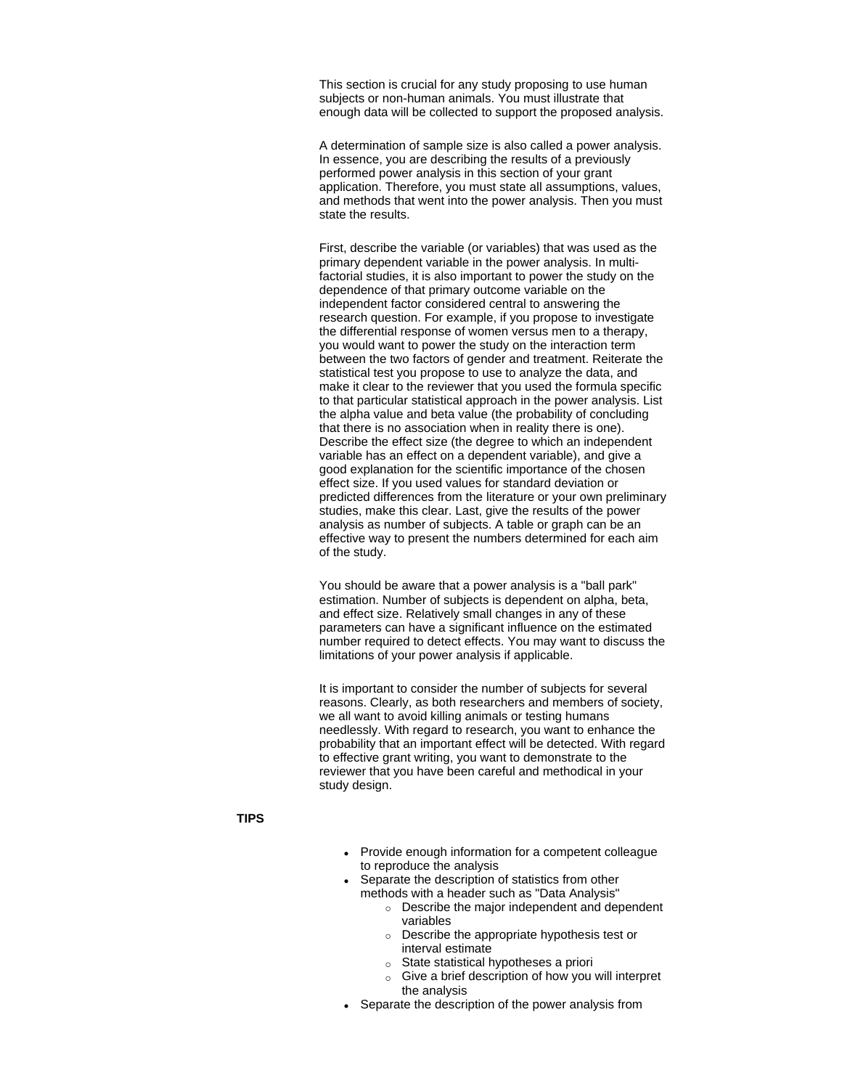This section is crucial for any study proposing to use human subjects or non-human animals. You must illustrate that enough data will be collected to support the proposed analysis.

A determination of sample size is also called a power analysis. In essence, you are describing the results of a previously performed power analysis in this section of your grant application. Therefore, you must state all assumptions, values, and methods that went into the power analysis. Then you must state the results.

First, describe the variable (or variables) that was used as the primary dependent variable in the power analysis. In multifactorial studies, it is also important to power the study on the dependence of that primary outcome variable on the independent factor considered central to answering the research question. For example, if you propose to investigate the differential response of women versus men to a therapy, you would want to power the study on the interaction term between the two factors of gender and treatment. Reiterate the statistical test you propose to use to analyze the data, and make it clear to the reviewer that you used the formula specific to that particular statistical approach in the power analysis. List the alpha value and beta value (the probability of concluding that there is no association when in reality there is one). Describe the effect size (the degree to which an independent variable has an effect on a dependent variable), and give a good explanation for the scientific importance of the chosen effect size. If you used values for standard deviation or predicted differences from the literature or your own preliminary studies, make this clear. Last, give the results of the power analysis as number of subjects. A table or graph can be an effective way to present the numbers determined for each aim of the study.

You should be aware that a power analysis is a "ball park" estimation. Number of subjects is dependent on alpha, beta, and effect size. Relatively small changes in any of these parameters can have a significant influence on the estimated number required to detect effects. You may want to discuss the limitations of your power analysis if applicable.

It is important to consider the number of subjects for several reasons. Clearly, as both researchers and members of society, we all want to avoid killing animals or testing humans needlessly. With regard to research, you want to enhance the probability that an important effect will be detected. With regard to effective grant writing, you want to demonstrate to the reviewer that you have been careful and methodical in your study design.

### **TIPS**

- Provide enough information for a competent colleague to reproduce the analysis
- Separate the description of statistics from other methods with a header such as "Data Analysis"
	- $\circ$  Describe the major independent and dependent variables
	- $\circ$  Describe the appropriate hypothesis test or interval estimate
	- $\circ$  State statistical hypotheses a priori
	- $\circ$  Give a brief description of how you will interpret the analysis
- Separate the description of the power analysis from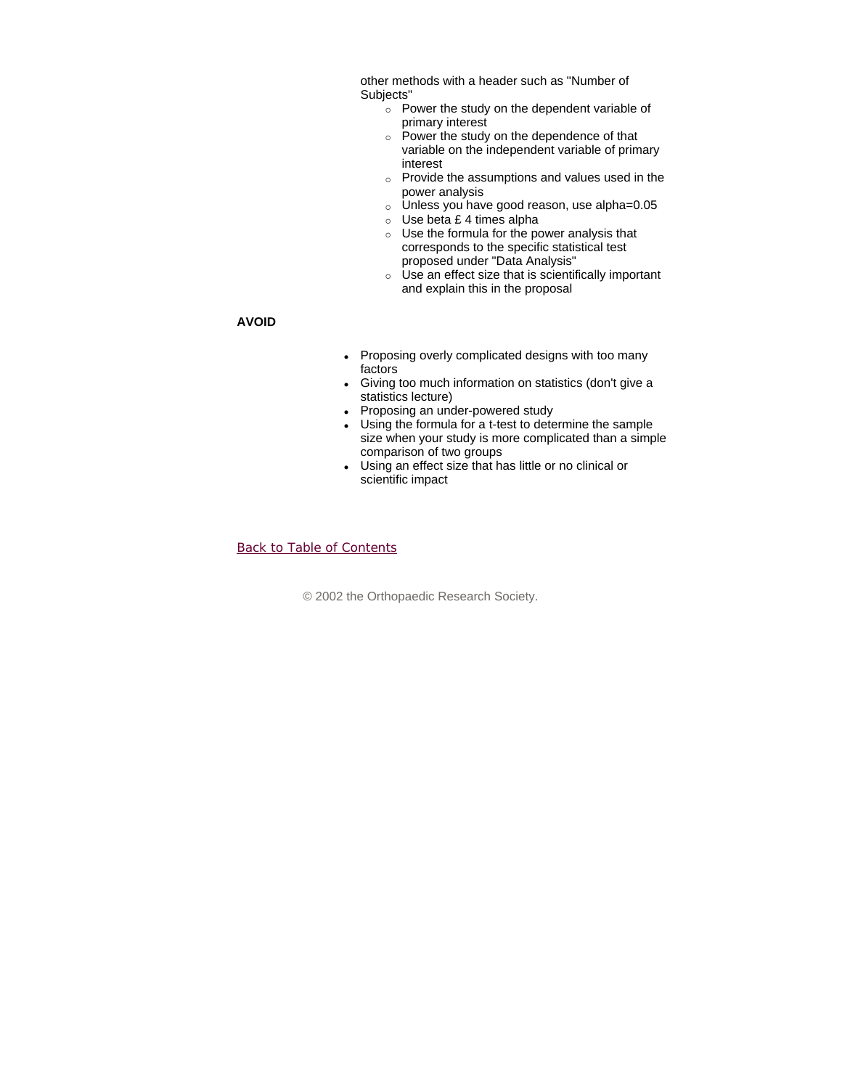other methods with a header such as "Number of Subjects"

- $\circ$  Power the study on the dependent variable of primary interest
- $\circ$  Power the study on the dependence of that variable on the independent variable of primary interest
- $\circ$  Provide the assumptions and values used in the power analysis
- $\circ$  Unless you have good reason, use alpha=0.05
- $\circ$  Use beta £ 4 times alpha
- $\circ$  Use the formula for the power analysis that corresponds to the specific statistical test proposed under "Data Analysis"
- $\circ$  Use an effect size that is scientifically important and explain this in the proposal

### **AVOID**

- Proposing overly complicated designs with too many factors
- Giving too much information on statistics (don't give a statistics lecture)
- Proposing an under-powered study
- Using the formula for a t-test to determine the sample size when your study is more complicated than a simple comparison of two groups
- Using an effect size that has little or no clinical or scientific impact

### Back to Table of Contents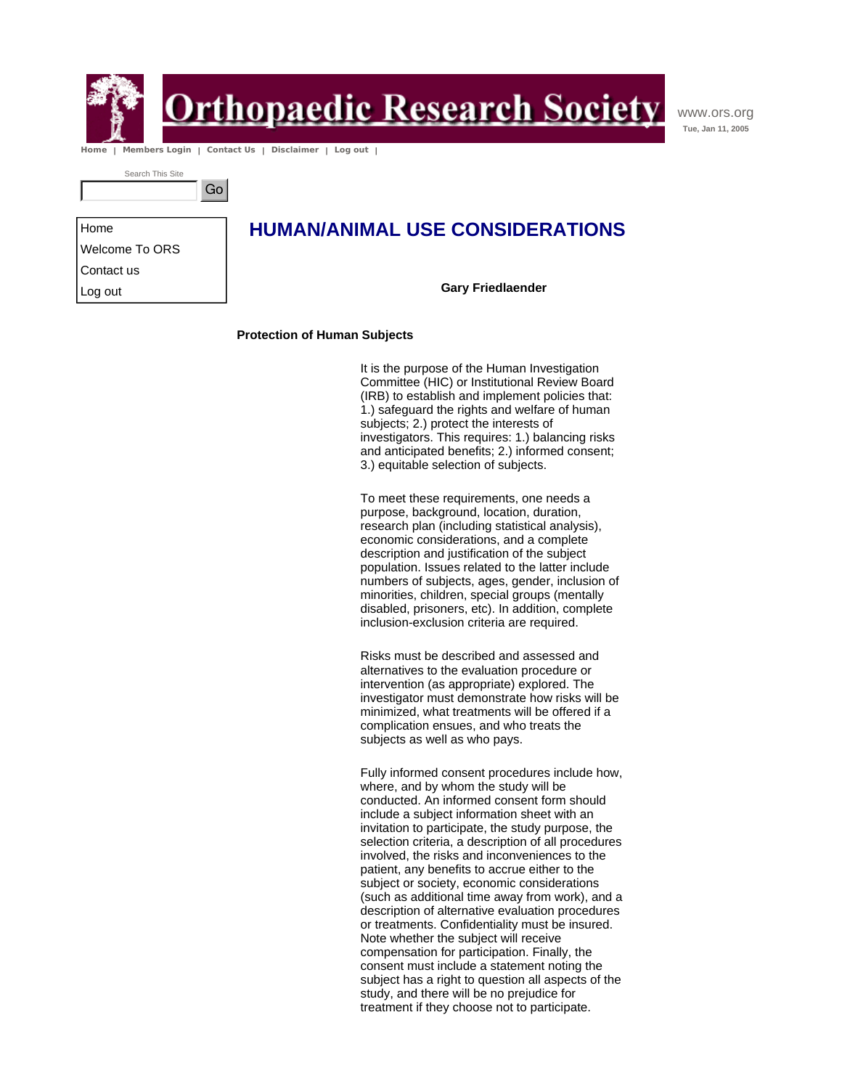

Home

Contact us Log out

# **Drthopaedic Research Society**

www.ors.org **Tue, Jan 11, 2005**

 **Home | Members Login | Contact Us | Disclaimer | Log out |** 

Go

Search This Site

Welcome To ORS

### **HUMAN/ANIMAL USE CONSIDERATIONS**

**Gary Friedlaender**

### **Protection of Human Subjects**

It is the purpose of the Human Investigation Committee (HIC) or Institutional Review Board (IRB) to establish and implement policies that: 1.) safeguard the rights and welfare of human subjects; 2.) protect the interests of investigators. This requires: 1.) balancing risks and anticipated benefits; 2.) informed consent; 3.) equitable selection of subjects.

To meet these requirements, one needs a purpose, background, location, duration, research plan (including statistical analysis), economic considerations, and a complete description and justification of the subject population. Issues related to the latter include numbers of subjects, ages, gender, inclusion of minorities, children, special groups (mentally disabled, prisoners, etc). In addition, complete inclusion-exclusion criteria are required.

Risks must be described and assessed and alternatives to the evaluation procedure or intervention (as appropriate) explored. The investigator must demonstrate how risks will be minimized, what treatments will be offered if a complication ensues, and who treats the subjects as well as who pays.

Fully informed consent procedures include how, where, and by whom the study will be conducted. An informed consent form should include a subject information sheet with an invitation to participate, the study purpose, the selection criteria, a description of all procedures involved, the risks and inconveniences to the patient, any benefits to accrue either to the subject or society, economic considerations (such as additional time away from work), and a description of alternative evaluation procedures or treatments. Confidentiality must be insured. Note whether the subject will receive compensation for participation. Finally, the consent must include a statement noting the subject has a right to question all aspects of the study, and there will be no prejudice for treatment if they choose not to participate.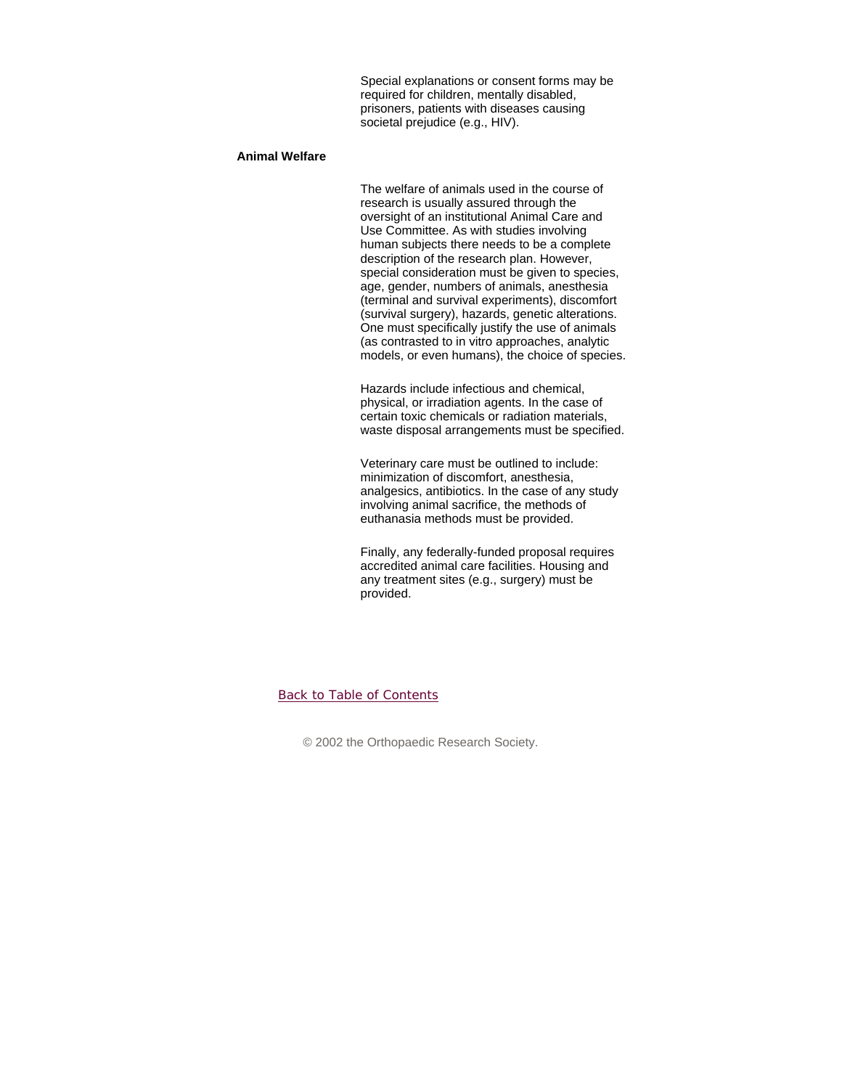Special explanations or consent forms may be required for children, mentally disabled, prisoners, patients with diseases causing societal prejudice (e.g., HIV).

### **Animal Welfare**

The welfare of animals used in the course of research is usually assured through the oversight of an institutional Animal Care and Use Committee. As with studies involving human subjects there needs to be a complete description of the research plan. However, special consideration must be given to species, age, gender, numbers of animals, anesthesia (terminal and survival experiments), discomfort (survival surgery), hazards, genetic alterations. One must specifically justify the use of animals (as contrasted to in vitro approaches, analytic models, or even humans), the choice of species.

Hazards include infectious and chemical, physical, or irradiation agents. In the case of certain toxic chemicals or radiation materials, waste disposal arrangements must be specified.

Veterinary care must be outlined to include: minimization of discomfort, anesthesia, analgesics, antibiotics. In the case of any study involving animal sacrifice, the methods of euthanasia methods must be provided.

Finally, any federally-funded proposal requires accredited animal care facilities. Housing and any treatment sites (e.g., surgery) must be provided.

### Back to Table of Contents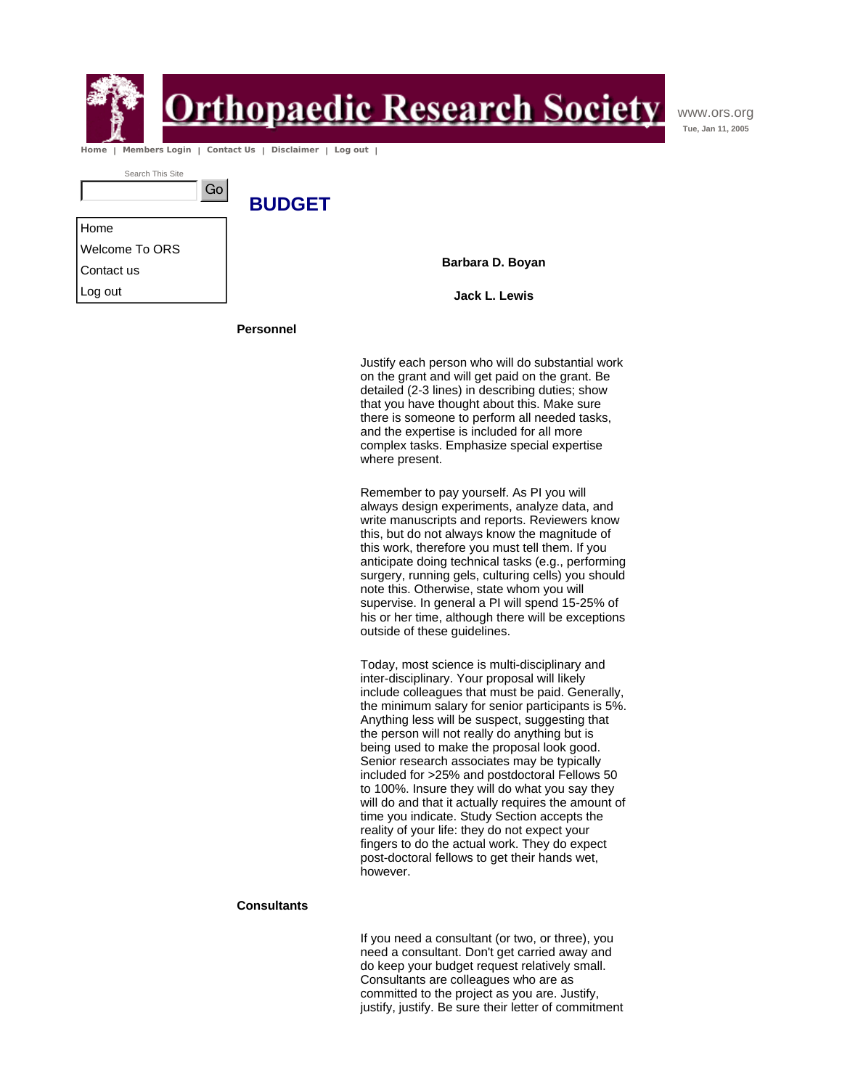

# <u>rthopaedic Research Society</u>

www.ors.org **Tue, Jan 11, 2005**

 **Home | Members Login | Contact Us | Disclaimer | Log out |** 

| Search This Site |  |
|------------------|--|
|                  |  |

Home Welcome To ORS Contact us Log out

**Barbara D. Boyan**

**Jack L. Lewis**

**Personnel** 

**BUDGET** 

Justify each person who will do substantial work on the grant and will get paid on the grant. Be detailed (2-3 lines) in describing duties; show that you have thought about this. Make sure there is someone to perform all needed tasks, and the expertise is included for all more complex tasks. Emphasize special expertise where present.

Remember to pay yourself. As PI you will always design experiments, analyze data, and write manuscripts and reports. Reviewers know this, but do not always know the magnitude of this work, therefore you must tell them. If you anticipate doing technical tasks (e.g., performing surgery, running gels, culturing cells) you should note this. Otherwise, state whom you will supervise. In general a PI will spend 15-25% of his or her time, although there will be exceptions outside of these guidelines.

Today, most science is multi-disciplinary and inter-disciplinary. Your proposal will likely include colleagues that must be paid. Generally, the minimum salary for senior participants is 5%. Anything less will be suspect, suggesting that the person will not really do anything but is being used to make the proposal look good. Senior research associates may be typically included for >25% and postdoctoral Fellows 50 to 100%. Insure they will do what you say they will do and that it actually requires the amount of time you indicate. Study Section accepts the reality of your life: they do not expect your fingers to do the actual work. They do expect post-doctoral fellows to get their hands wet, however.

### **Consultants**

If you need a consultant (or two, or three), you need a consultant. Don't get carried away and do keep your budget request relatively small. Consultants are colleagues who are as committed to the project as you are. Justify, justify, justify. Be sure their letter of commitment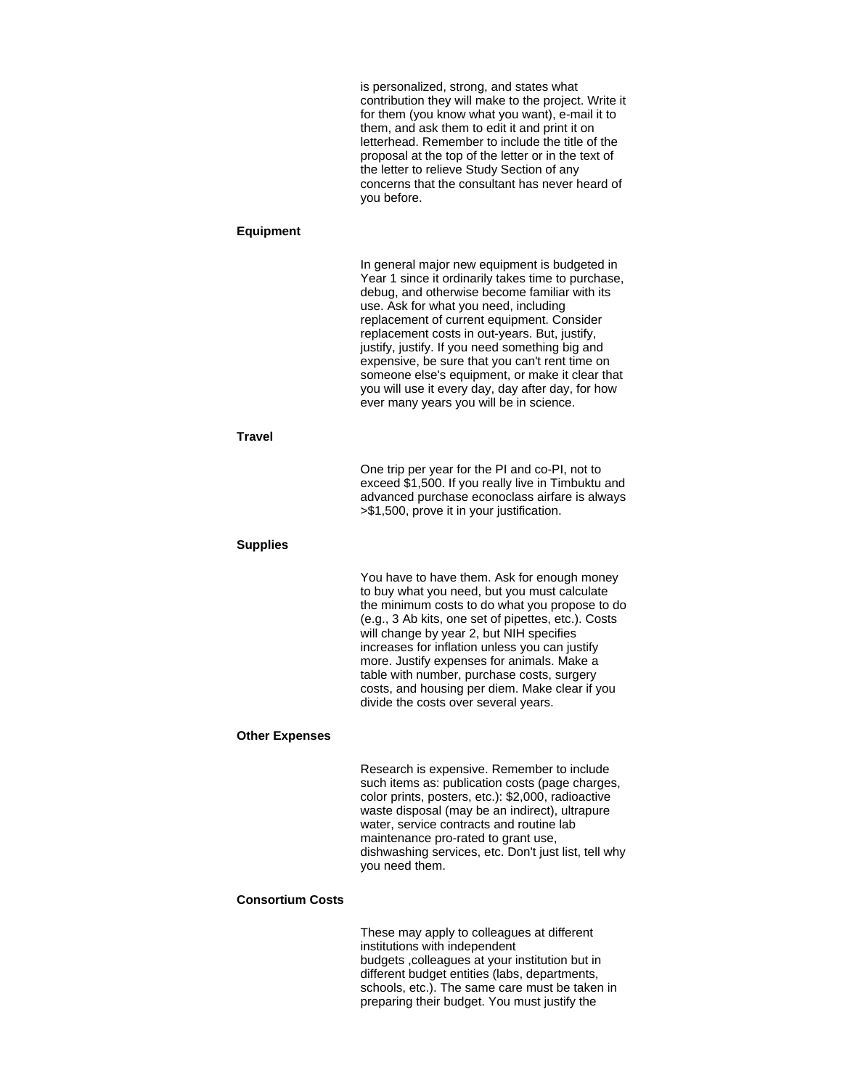is personalized, strong, and states what contribution they will make to the project. Write it for them (you know what you want), e-mail it to them, and ask them to edit it and print it on letterhead. Remember to include the title of the proposal at the top of the letter or in the text of the letter to relieve Study Section of any concerns that the consultant has never heard of you before.

#### **Equipment**

In general major new equipment is budgeted in Year 1 since it ordinarily takes time to purchase, debug, and otherwise become familiar with its use. Ask for what you need, including replacement of current equipment. Consider replacement costs in out-years. But, justify, justify, justify. If you need something big and expensive, be sure that you can't rent time on someone else's equipment, or make it clear that you will use it every day, day after day, for how ever many years you will be in science.

### **Travel**

One trip per year for the PI and co-PI, not to exceed \$1,500. If you really live in Timbuktu and advanced purchase econoclass airfare is always >\$1,500, prove it in your justification.

### **Supplies**

You have to have them. Ask for enough money to buy what you need, but you must calculate the minimum costs to do what you propose to do (e.g., 3 Ab kits, one set of pipettes, etc.). Costs will change by year 2, but NIH specifies increases for inflation unless you can justify more. Justify expenses for animals. Make a table with number, purchase costs, surgery costs, and housing per diem. Make clear if you divide the costs over several years.

#### **Other Expenses**

Research is expensive. Remember to include such items as: publication costs (page charges, color prints, posters, etc.): \$2,000, radioactive waste disposal (may be an indirect), ultrapure water, service contracts and routine lab maintenance pro-rated to grant use, dishwashing services, etc. Don't just list, tell why you need them.

### **Consortium Costs**

These may apply to colleagues at different institutions with independent budgets ,colleagues at your institution but in different budget entities (labs, departments, schools, etc.). The same care must be taken in preparing their budget. You must justify the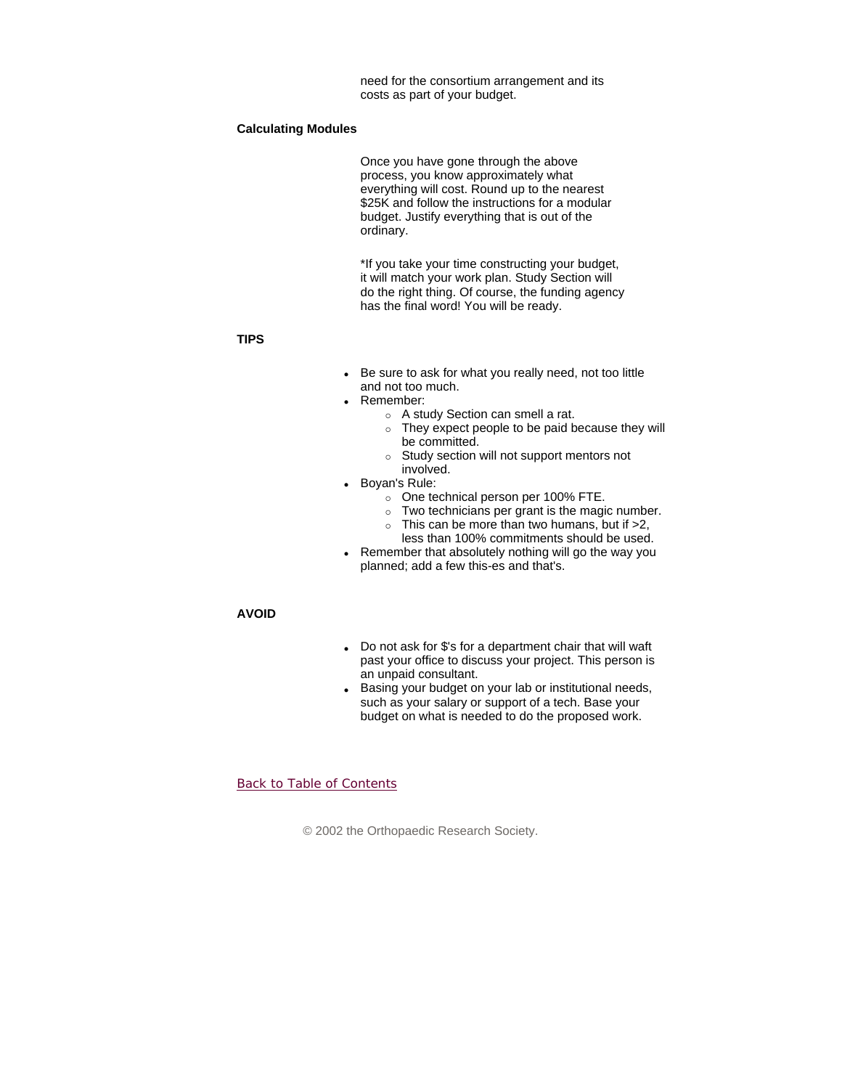need for the consortium arrangement and its costs as part of your budget.

### **Calculating Modules**

Once you have gone through the above process, you know approximately what everything will cost. Round up to the nearest \$25K and follow the instructions for a modular budget. Justify everything that is out of the ordinary.

\*If you take your time constructing your budget, it will match your work plan. Study Section will do the right thing. Of course, the funding agency has the final word! You will be ready.

### **TIPS**

- Be sure to ask for what you really need, not too little and not too much.
- Remember:
	- $\circ$  A study Section can smell a rat.
	- $\circ$  They expect people to be paid because they will be committed.
	- $\circ$  Study section will not support mentors not involved.
- Boyan's Rule:
	- o One technical person per 100% FTE.
	- $\circ$  Two technicians per grant is the magic number.
	- $\circ$  This can be more than two humans, but if  $>2$ , less than 100% commitments should be used.
- Remember that absolutely nothing will go the way you planned; add a few this-es and that's.

### **AVOID**

- Do not ask for \$'s for a department chair that will waft past your office to discuss your project. This person is an unpaid consultant.
- Basing your budget on your lab or institutional needs, such as your salary or support of a tech. Base your budget on what is needed to do the proposed work.

### Back to Table of Contents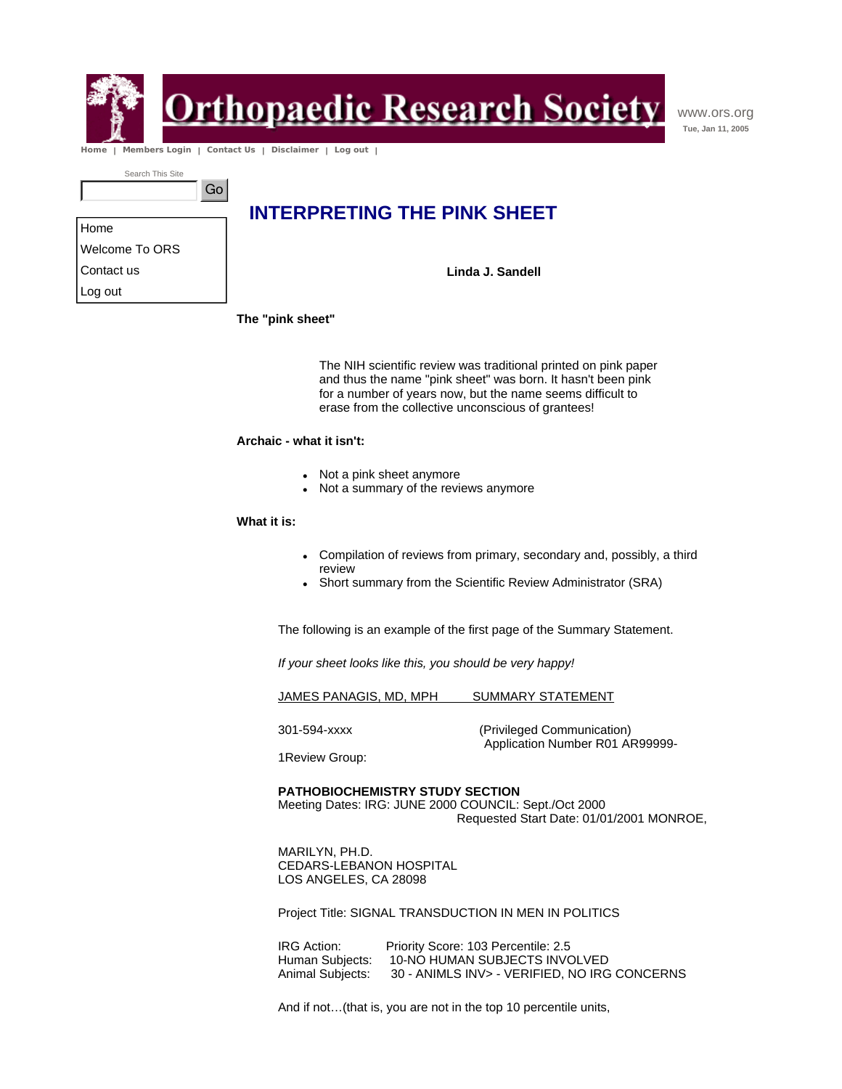

## **rthopaedic Research Society**

www.ors.org **Tue, Jan 11, 2005**

 **Home | Members Login | Contact Us | Disclaimer | Log out |** 

Go

Search This Site

| <b>INTERPRETING THE PINK SHEET</b> |  |
|------------------------------------|--|
|------------------------------------|--|

| Home           |  |
|----------------|--|
| Welcome To ORS |  |
| Contact us     |  |
| Log out        |  |

**Linda J. Sandell**

**The "pink sheet"** 

The NIH scientific review was traditional printed on pink paper and thus the name "pink sheet" was born. It hasn't been pink for a number of years now, but the name seems difficult to erase from the collective unconscious of grantees!

### **Archaic - what it isn't:**

- Not a pink sheet anymore
- Not a summary of the reviews anymore

### **What it is:**

- Compilation of reviews from primary, secondary and, possibly, a third review
- Short summary from the Scientific Review Administrator (SRA)

The following is an example of the first page of the Summary Statement.

*If your sheet looks like this, you should be very happy!*

JAMES PANAGIS, MD, MPH SUMMARY STATEMENT

301-594-xxxx (Privileged Communication) Application Number R01 AR99999-

1Review Group:

### **PATHOBIOCHEMISTRY STUDY SECTION**

Meeting Dates: IRG: JUNE 2000 COUNCIL: Sept./Oct 2000 Requested Start Date: 01/01/2001 MONROE,

MARILYN, PH.D. CEDARS-LEBANON HOSPITAL LOS ANGELES, CA 28098

Project Title: SIGNAL TRANSDUCTION IN MEN IN POLITICS

IRG Action: Priority Score: 103 Percentile: 2.5<br>Human Subjects: 10-NO HUMAN SUBJECTS INVO 10-NO HUMAN SUBJECTS INVOLVED Animal Subjects: 30 - ANIMLS INV> - VERIFIED, NO IRG CONCERNS

And if not…(that is, you are not in the top 10 percentile units,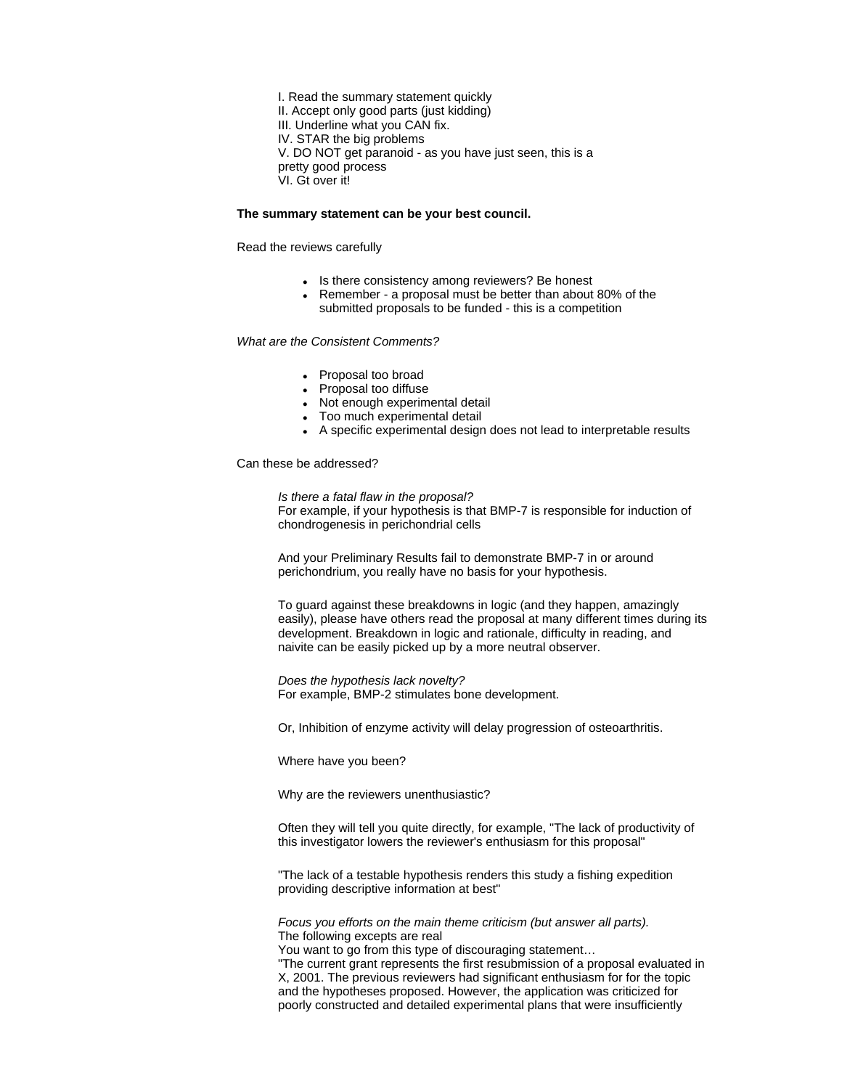I. Read the summary statement quickly II. Accept only good parts (just kidding) III. Underline what you CAN fix. IV. STAR the big problems V. DO NOT get paranoid - as you have just seen, this is a pretty good process VI. Gt over it!

### **The summary statement can be your best council.**

Read the reviews carefully

- Is there consistency among reviewers? Be honest
- Remember a proposal must be better than about 80% of the submitted proposals to be funded - this is a competition

### *What are the Consistent Comments?*

- Proposal too broad
- Proposal too diffuse
- Not enough experimental detail
- Too much experimental detail
- A specific experimental design does not lead to interpretable results

Can these be addressed?

*Is there a fatal flaw in the proposal?* For example, if your hypothesis is that BMP-7 is responsible for induction of chondrogenesis in perichondrial cells

And your Preliminary Results fail to demonstrate BMP-7 in or around perichondrium, you really have no basis for your hypothesis.

To guard against these breakdowns in logic (and they happen, amazingly easily), please have others read the proposal at many different times during its development. Breakdown in logic and rationale, difficulty in reading, and naivite can be easily picked up by a more neutral observer.

*Does the hypothesis lack novelty?* For example, BMP-2 stimulates bone development.

Or, Inhibition of enzyme activity will delay progression of osteoarthritis.

Where have you been?

Why are the reviewers unenthusiastic?

Often they will tell you quite directly, for example, "The lack of productivity of this investigator lowers the reviewer's enthusiasm for this proposal"

"The lack of a testable hypothesis renders this study a fishing expedition providing descriptive information at best"

*Focus you efforts on the main theme criticism (but answer all parts).* The following excepts are real

You want to go from this type of discouraging statement… "The current grant represents the first resubmission of a proposal evaluated in X, 2001. The previous reviewers had significant enthusiasm for for the topic and the hypotheses proposed. However, the application was criticized for poorly constructed and detailed experimental plans that were insufficiently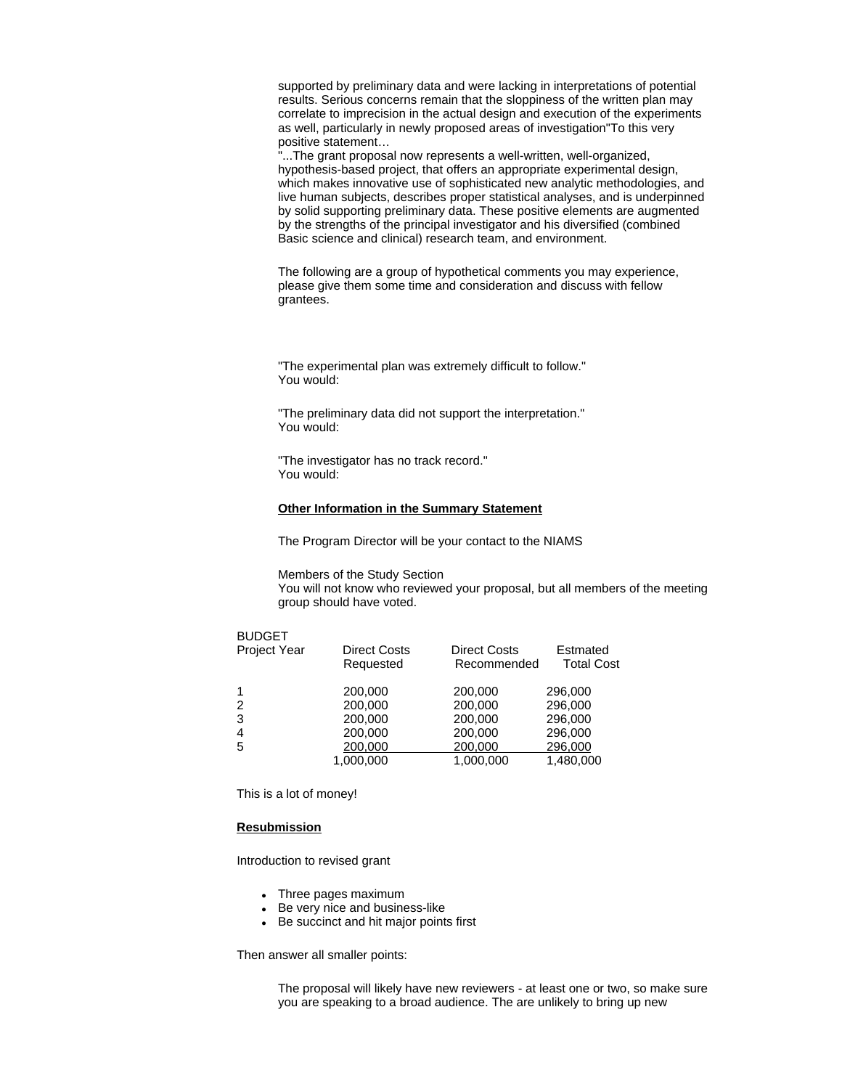supported by preliminary data and were lacking in interpretations of potential results. Serious concerns remain that the sloppiness of the written plan may correlate to imprecision in the actual design and execution of the experiments as well, particularly in newly proposed areas of investigation"To this very positive statement…

"...The grant proposal now represents a well-written, well-organized, hypothesis-based project, that offers an appropriate experimental design, which makes innovative use of sophisticated new analytic methodologies, and live human subjects, describes proper statistical analyses, and is underpinned by solid supporting preliminary data. These positive elements are augmented by the strengths of the principal investigator and his diversified (combined Basic science and clinical) research team, and environment.

The following are a group of hypothetical comments you may experience, please give them some time and consideration and discuss with fellow grantees.

"The experimental plan was extremely difficult to follow." You would:

"The preliminary data did not support the interpretation." You would:

"The investigator has no track record." You would:

### **Other Information in the Summary Statement**

The Program Director will be your contact to the NIAMS

Members of the Study Section

You will not know who reviewed your proposal, but all members of the meeting group should have voted.

### BUDGET

| Project Year | <b>Direct Costs</b><br>Requested | <b>Direct Costs</b><br>Recommended | Estmated<br><b>Total Cost</b> |
|--------------|----------------------------------|------------------------------------|-------------------------------|
| 1            | 200,000                          | 200,000                            | 296,000                       |
| 2            | 200,000                          | 200,000                            | 296,000                       |
| 3            | 200,000                          | 200,000                            | 296,000                       |
| 4            | 200,000                          | 200,000                            | 296,000                       |
| 5            | 200,000                          | 200,000                            | 296,000                       |
|              | 1,000,000                        | 1,000,000                          | 1,480,000                     |

This is a lot of money!

### **Resubmission**

Introduction to revised grant

- Three pages maximum
- Be very nice and business-like
- Be succinct and hit major points first

Then answer all smaller points:

The proposal will likely have new reviewers - at least one or two, so make sure you are speaking to a broad audience. The are unlikely to bring up new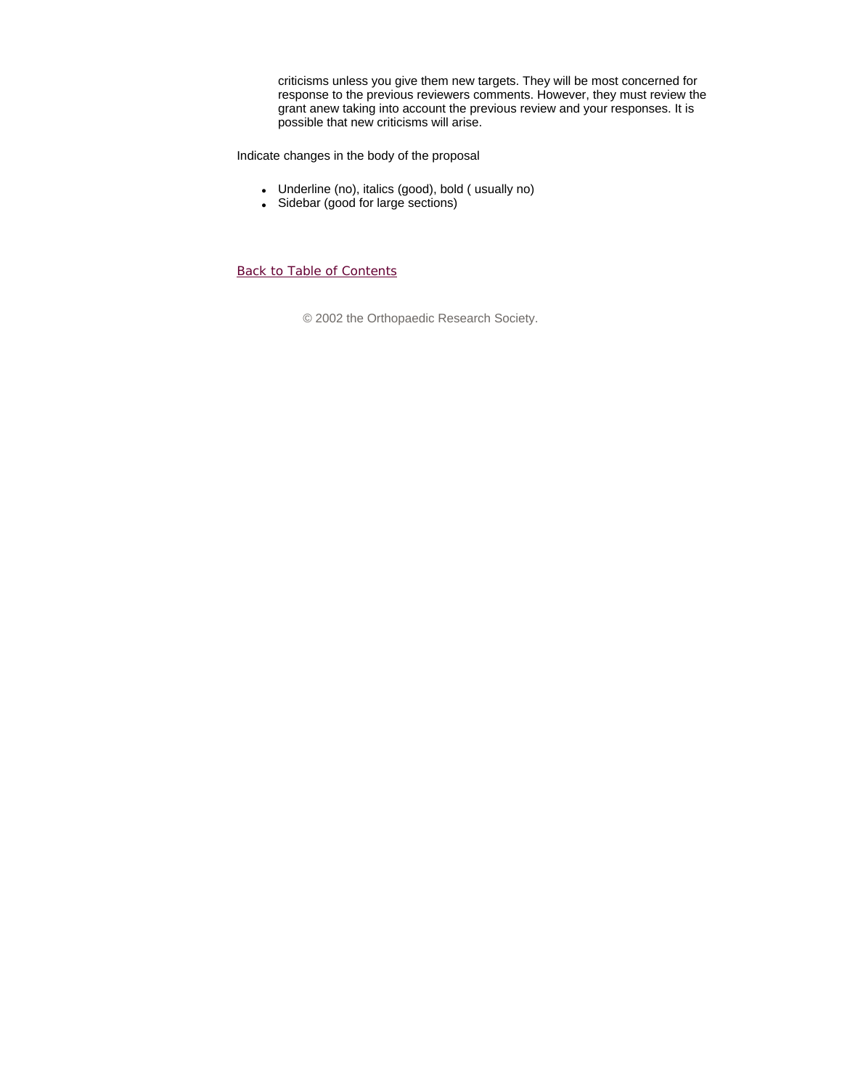criticisms unless you give them new targets. They will be most concerned for response to the previous reviewers comments. However, they must review the grant anew taking into account the previous review and your responses. It is possible that new criticisms will arise.

Indicate changes in the body of the proposal

- Underline (no), italics (good), bold ( usually no)
- Sidebar (good for large sections)

Back to Table of Contents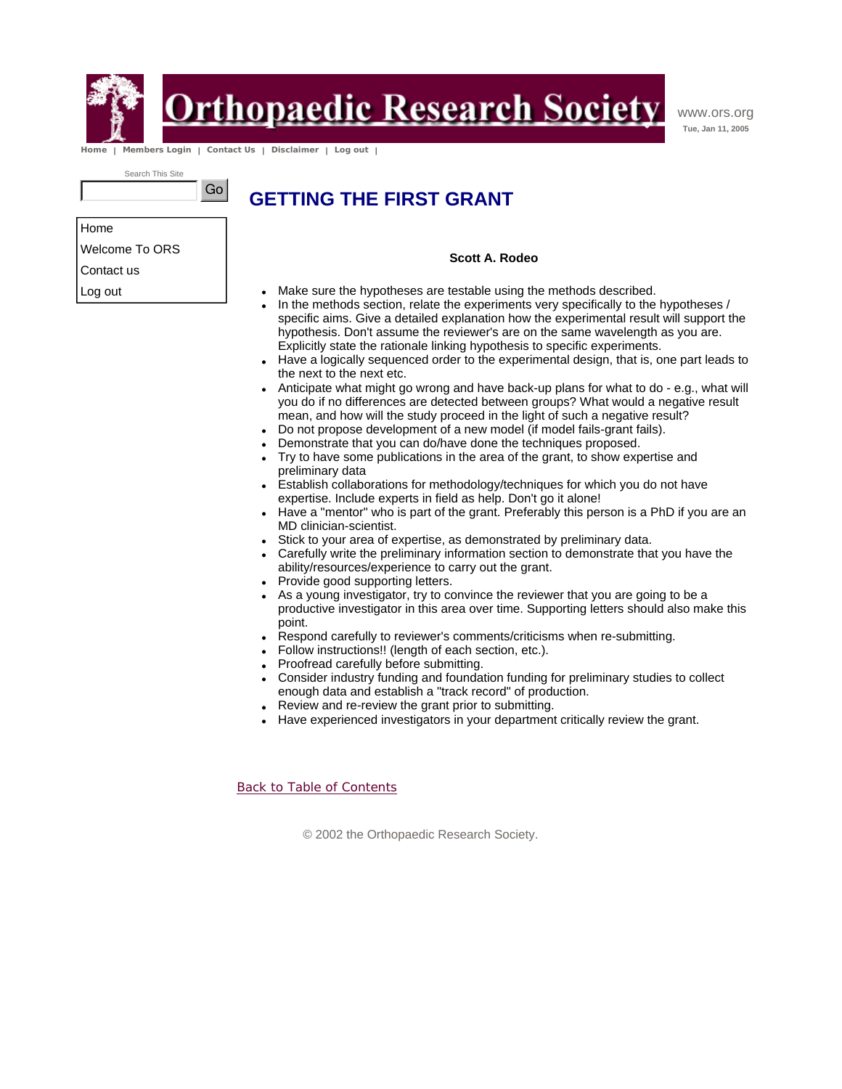

## **Drthopaedic Research Society**

www.ors.org **Tue, Jan 11, 2005**

 **Home | Members Login | Contact Us | Disclaimer | Log out |** 

Go

Search This Site

## **GETTING THE FIRST GRANT**

Home Welcome To ORS

Contact us

Log out

- **Scott A. Rodeo**
- Make sure the hypotheses are testable using the methods described.
- In the methods section, relate the experiments very specifically to the hypotheses / specific aims. Give a detailed explanation how the experimental result will support the hypothesis. Don't assume the reviewer's are on the same wavelength as you are. Explicitly state the rationale linking hypothesis to specific experiments.
- Have a logically sequenced order to the experimental design, that is, one part leads to the next to the next etc.
- Anticipate what might go wrong and have back-up plans for what to do e.g., what will you do if no differences are detected between groups? What would a negative result mean, and how will the study proceed in the light of such a negative result?
- Do not propose development of a new model (if model fails-grant fails).
- Demonstrate that you can do/have done the techniques proposed.
- Try to have some publications in the area of the grant, to show expertise and preliminary data
- Establish collaborations for methodology/techniques for which you do not have expertise. Include experts in field as help. Don't go it alone!
- Have a "mentor" who is part of the grant. Preferably this person is a PhD if you are an MD clinician-scientist.
- Stick to your area of expertise, as demonstrated by preliminary data.
- Carefully write the preliminary information section to demonstrate that you have the ability/resources/experience to carry out the grant.
- Provide good supporting letters.
- As a young investigator, try to convince the reviewer that you are going to be a productive investigator in this area over time. Supporting letters should also make this point.
- Respond carefully to reviewer's comments/criticisms when re-submitting.
- Follow instructions!! (length of each section, etc.).
- Proofread carefully before submitting.
- Consider industry funding and foundation funding for preliminary studies to collect enough data and establish a "track record" of production.
- Review and re-review the grant prior to submitting.
- Have experienced investigators in your department critically review the grant.

Back to Table of Contents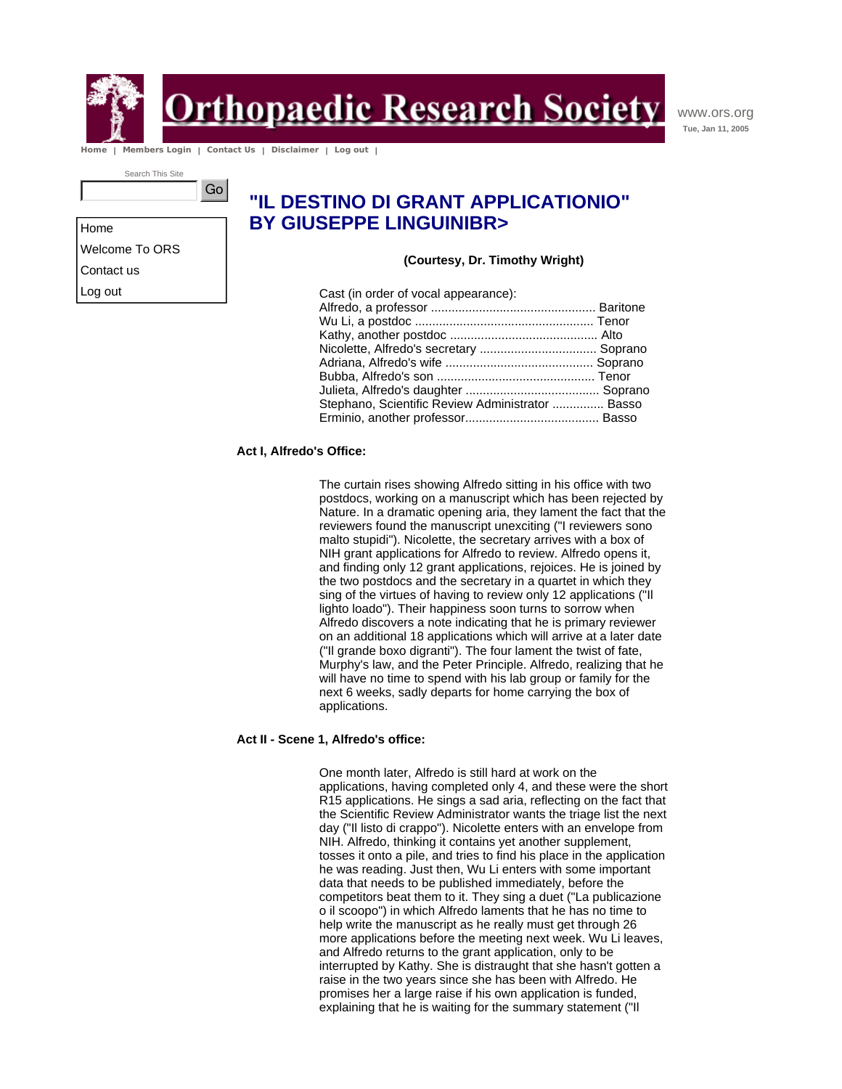

**Orthopaedic Research Society** 

www.ors.org **Tue, Jan 11, 2005**

 **Home | Members Login | Contact Us | Disclaimer | Log out |** 

Go

Search This Site

### **"IL DESTINO DI GRANT APPLICATIONIO" BY GIUSEPPE LINGUINIBR>**

**(Courtesy, Dr. Timothy Wright)**

| Cast (in order of vocal appearance):             |  |
|--------------------------------------------------|--|
|                                                  |  |
|                                                  |  |
|                                                  |  |
| Nicolette, Alfredo's secretary  Soprano          |  |
|                                                  |  |
|                                                  |  |
|                                                  |  |
| Stephano, Scientific Review Administrator  Basso |  |
|                                                  |  |
|                                                  |  |

### **Act I, Alfredo's Office:**

The curtain rises showing Alfredo sitting in his office with two postdocs, working on a manuscript which has been rejected by Nature. In a dramatic opening aria, they lament the fact that the reviewers found the manuscript unexciting ("I reviewers sono malto stupidi"). Nicolette, the secretary arrives with a box of NIH grant applications for Alfredo to review. Alfredo opens it, and finding only 12 grant applications, rejoices. He is joined by the two postdocs and the secretary in a quartet in which they sing of the virtues of having to review only 12 applications ("Il lighto loado"). Their happiness soon turns to sorrow when Alfredo discovers a note indicating that he is primary reviewer on an additional 18 applications which will arrive at a later date ("Il grande boxo digranti"). The four lament the twist of fate, Murphy's law, and the Peter Principle. Alfredo, realizing that he will have no time to spend with his lab group or family for the next 6 weeks, sadly departs for home carrying the box of applications.

### **Act II - Scene 1, Alfredo's office:**

One month later, Alfredo is still hard at work on the applications, having completed only 4, and these were the short R15 applications. He sings a sad aria, reflecting on the fact that the Scientific Review Administrator wants the triage list the next day ("Il listo di crappo"). Nicolette enters with an envelope from NIH. Alfredo, thinking it contains yet another supplement, tosses it onto a pile, and tries to find his place in the application he was reading. Just then, Wu Li enters with some important data that needs to be published immediately, before the competitors beat them to it. They sing a duet ("La publicazione o il scoopo") in which Alfredo laments that he has no time to help write the manuscript as he really must get through 26 more applications before the meeting next week. Wu Li leaves, and Alfredo returns to the grant application, only to be interrupted by Kathy. She is distraught that she hasn't gotten a raise in the two years since she has been with Alfredo. He promises her a large raise if his own application is funded, explaining that he is waiting for the summary statement ("Il

Home Welcome To ORS Contact us Log out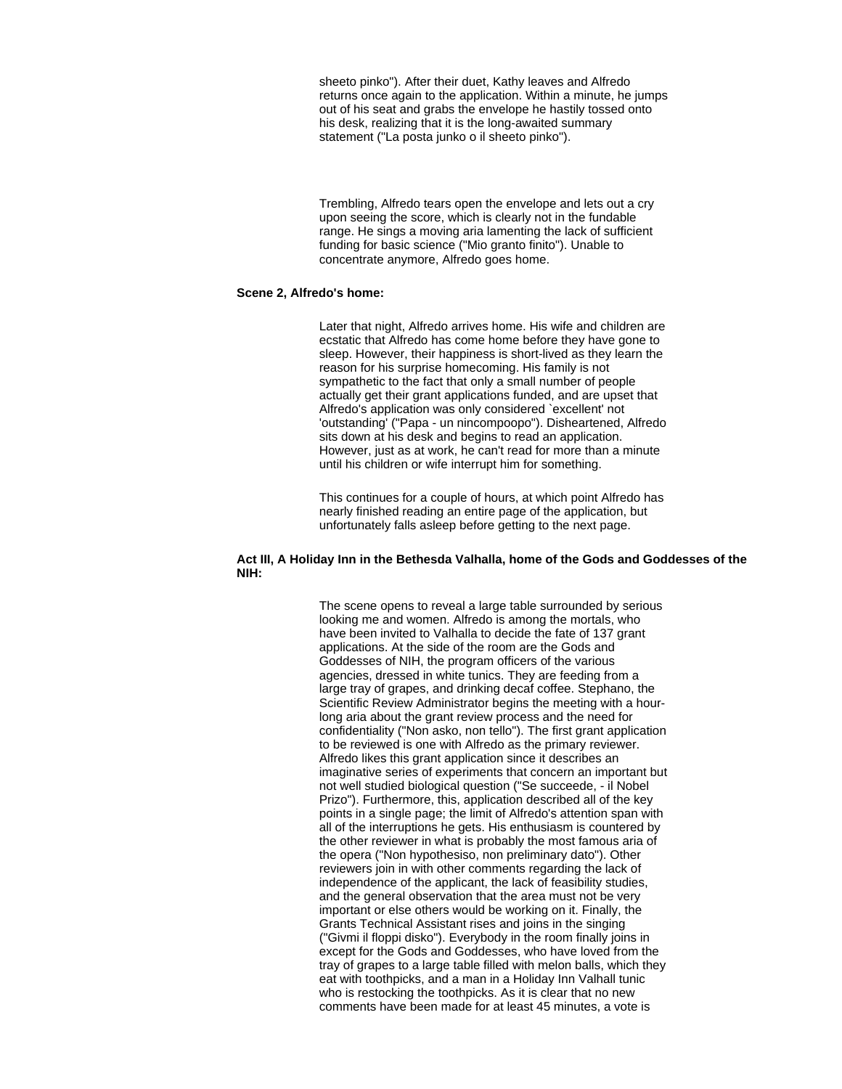sheeto pinko"). After their duet, Kathy leaves and Alfredo returns once again to the application. Within a minute, he jumps out of his seat and grabs the envelope he hastily tossed onto his desk, realizing that it is the long-awaited summary statement ("La posta junko o il sheeto pinko").

Trembling, Alfredo tears open the envelope and lets out a cry upon seeing the score, which is clearly not in the fundable range. He sings a moving aria lamenting the lack of sufficient funding for basic science ("Mio granto finito"). Unable to concentrate anymore, Alfredo goes home.

### **Scene 2, Alfredo's home:**

Later that night, Alfredo arrives home. His wife and children are ecstatic that Alfredo has come home before they have gone to sleep. However, their happiness is short-lived as they learn the reason for his surprise homecoming. His family is not sympathetic to the fact that only a small number of people actually get their grant applications funded, and are upset that Alfredo's application was only considered `excellent' not 'outstanding' ("Papa - un nincompoopo"). Disheartened, Alfredo sits down at his desk and begins to read an application. However, just as at work, he can't read for more than a minute until his children or wife interrupt him for something.

This continues for a couple of hours, at which point Alfredo has nearly finished reading an entire page of the application, but unfortunately falls asleep before getting to the next page.

### **Act III, A Holiday Inn in the Bethesda Valhalla, home of the Gods and Goddesses of the NIH:**

The scene opens to reveal a large table surrounded by serious looking me and women. Alfredo is among the mortals, who have been invited to Valhalla to decide the fate of 137 grant applications. At the side of the room are the Gods and Goddesses of NIH, the program officers of the various agencies, dressed in white tunics. They are feeding from a large tray of grapes, and drinking decaf coffee. Stephano, the Scientific Review Administrator begins the meeting with a hourlong aria about the grant review process and the need for confidentiality ("Non asko, non tello"). The first grant application to be reviewed is one with Alfredo as the primary reviewer. Alfredo likes this grant application since it describes an imaginative series of experiments that concern an important but not well studied biological question ("Se succeede, - il Nobel Prizo"). Furthermore, this, application described all of the key points in a single page; the limit of Alfredo's attention span with all of the interruptions he gets. His enthusiasm is countered by the other reviewer in what is probably the most famous aria of the opera ("Non hypothesiso, non preliminary dato"). Other reviewers join in with other comments regarding the lack of independence of the applicant, the lack of feasibility studies, and the general observation that the area must not be very important or else others would be working on it. Finally, the Grants Technical Assistant rises and joins in the singing ("Givmi il floppi disko"). Everybody in the room finally joins in except for the Gods and Goddesses, who have loved from the tray of grapes to a large table filled with melon balls, which they eat with toothpicks, and a man in a Holiday Inn Valhall tunic who is restocking the toothpicks. As it is clear that no new comments have been made for at least 45 minutes, a vote is